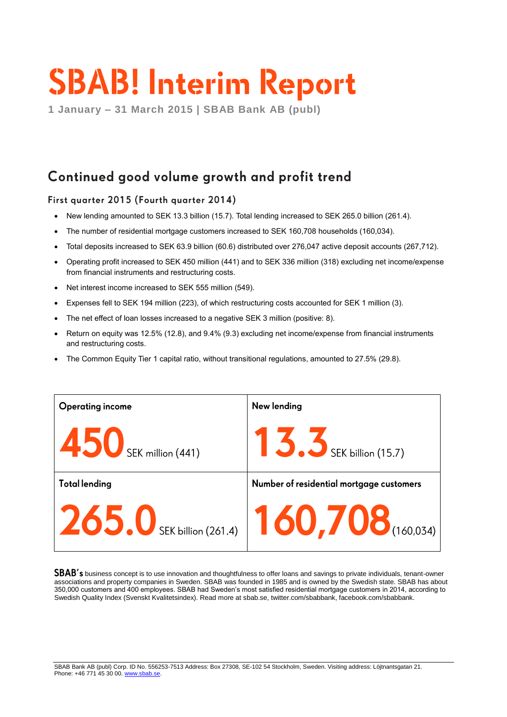# **SBAB! Interim Report**

**1 January – 31 March 2015 | SBAB Bank AB (publ)**

# Continued good volume growth and profit trend

### First quarter 2015 (Fourth quarter 2014)

- New lending amounted to SEK 13.3 billion (15.7). Total lending increased to SEK 265.0 billion (261.4).
- The number of residential mortgage customers increased to SEK 160,708 households (160,034).
- Total deposits increased to SEK 63.9 billion (60.6) distributed over 276,047 active deposit accounts (267,712).
- Operating profit increased to SEK 450 million (441) and to SEK 336 million (318) excluding net income/expense from financial instruments and restructuring costs.
- Net interest income increased to SEK 555 million (549).
- Expenses fell to SEK 194 million (223), of which restructuring costs accounted for SEK 1 million (3).
- The net effect of loan losses increased to a negative SEK 3 million (positive: 8).
- Return on equity was 12.5% (12.8), and 9.4% (9.3) excluding net income/expense from financial instruments and restructuring costs.
- The Common Equity Tier 1 capital ratio, without transitional regulations, amounted to 27.5% (29.8).

| <b>Operating income</b>                           | New lending                              |
|---------------------------------------------------|------------------------------------------|
| $\overline{150}$ SEK million (441)                | SEK billion (15.7)                       |
| <b>Total lending</b>                              | Number of residential mortgage customers |
| $ 265.0$ SEK billion (261.4) $ 160,708$ (160,034) |                                          |

SBAB's business concept is to use innovation and thoughtfulness to offer loans and savings to private individuals, tenant-owner associations and property companies in Sweden. SBAB was founded in 1985 and is owned by the Swedish state. SBAB has about 350,000 customers and 400 employees. SBAB had Sweden's most satisfied residential mortgage customers in 2014, according to Swedish Quality Index (Svenskt Kvalitetsindex). Read more at sbab.se, twitter.com/sbabbank, facebook.com/sbabbank.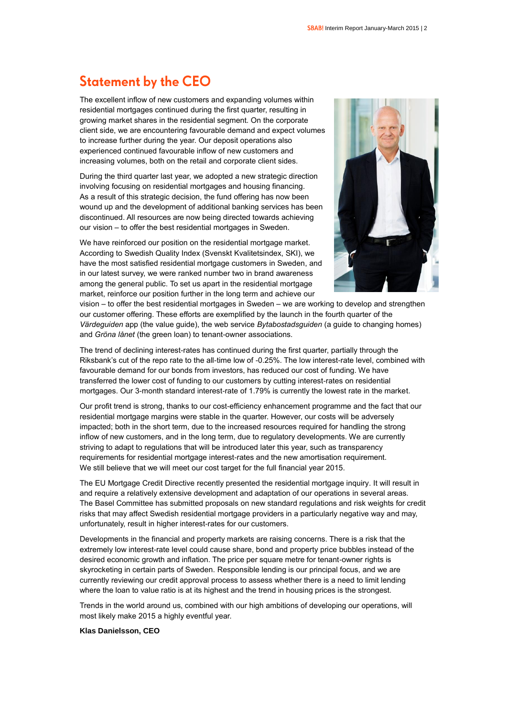# **Statement by the CEO**

The excellent inflow of new customers and expanding volumes within residential mortgages continued during the first quarter, resulting in growing market shares in the residential segment. On the corporate client side, we are encountering favourable demand and expect volumes to increase further during the year. Our deposit operations also experienced continued favourable inflow of new customers and increasing volumes, both on the retail and corporate client sides.

During the third quarter last year, we adopted a new strategic direction involving focusing on residential mortgages and housing financing. As a result of this strategic decision, the fund offering has now been wound up and the development of additional banking services has been discontinued. All resources are now being directed towards achieving our vision – to offer the best residential mortgages in Sweden.

We have reinforced our position on the residential mortgage market. According to Swedish Quality Index (Svenskt Kvalitetsindex, SKI), we have the most satisfied residential mortgage customers in Sweden, and in our latest survey, we were ranked number two in brand awareness among the general public. To set us apart in the residential mortgage market, reinforce our position further in the long term and achieve our



vision – to offer the best residential mortgages in Sweden – we are working to develop and strengthen our customer offering. These efforts are exemplified by the launch in the fourth quarter of the *Värdeguiden* app (the value guide), the web service *Bytabostadsguiden* (a guide to changing homes) and *Gröna lånet* (the green loan) to tenant-owner associations.

The trend of declining interest-rates has continued during the first quarter, partially through the Riksbank's cut of the repo rate to the all-time low of -0.25%. The low interest-rate level, combined with favourable demand for our bonds from investors, has reduced our cost of funding. We have transferred the lower cost of funding to our customers by cutting interest-rates on residential mortgages. Our 3-month standard interest-rate of 1.79% is currently the lowest rate in the market.

Our profit trend is strong, thanks to our cost-efficiency enhancement programme and the fact that our residential mortgage margins were stable in the quarter. However, our costs will be adversely impacted; both in the short term, due to the increased resources required for handling the strong inflow of new customers, and in the long term, due to regulatory developments. We are currently striving to adapt to regulations that will be introduced later this year, such as transparency requirements for residential mortgage interest-rates and the new amortisation requirement. We still believe that we will meet our cost target for the full financial year 2015.

The EU Mortgage Credit Directive recently presented the residential mortgage inquiry. It will result in and require a relatively extensive development and adaptation of our operations in several areas. The Basel Committee has submitted proposals on new standard regulations and risk weights for credit risks that may affect Swedish residential mortgage providers in a particularly negative way and may, unfortunately, result in higher interest-rates for our customers.

Developments in the financial and property markets are raising concerns. There is a risk that the extremely low interest-rate level could cause share, bond and property price bubbles instead of the desired economic growth and inflation. The price per square metre for tenant-owner rights is skyrocketing in certain parts of Sweden. Responsible lending is our principal focus, and we are currently reviewing our credit approval process to assess whether there is a need to limit lending where the loan to value ratio is at its highest and the trend in housing prices is the strongest.

Trends in the world around us, combined with our high ambitions of developing our operations, will most likely make 2015 a highly eventful year.

### **Klas Danielsson, CEO**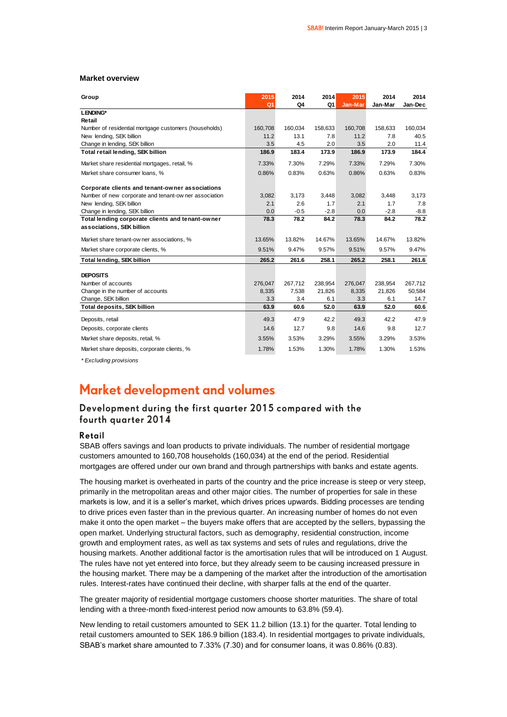#### **Market overview**

| Group                                                 | 2015           | 2014    | 2014    | 2015    | 2014    | 2014    |
|-------------------------------------------------------|----------------|---------|---------|---------|---------|---------|
|                                                       | Q <sub>1</sub> | Q4      | Q1      | Jan-Mar | Jan-Mar | Jan-Dec |
| LENDING*                                              |                |         |         |         |         |         |
| Retail                                                |                |         |         |         |         |         |
| Number of residential mortgage customers (households) | 160,708        | 160,034 | 158,633 | 160,708 | 158,633 | 160,034 |
| New lending, SEK billion                              | 11.2           | 13.1    | 7.8     | 11.2    | 7.8     | 40.5    |
| Change in lending, SEK billion                        | 3.5            | 4.5     | 2.0     | 3.5     | 2.0     | 11.4    |
| Total retail lending, SEK billion                     | 186.9          | 183.4   | 173.9   | 186.9   | 173.9   | 184.4   |
| Market share residential mortgages, retail, %         | 7.33%          | 7.30%   | 7.29%   | 7.33%   | 7.29%   | 7.30%   |
| Market share consumer loans, %                        | 0.86%          | 0.83%   | 0.63%   | 0.86%   | 0.63%   | 0.83%   |
| Corporate clients and tenant-owner associations       |                |         |         |         |         |         |
| Number of new corporate and tenant-ow ner association | 3,082          | 3,173   | 3,448   | 3,082   | 3,448   | 3,173   |
| New lending, SEK billion                              | 2.1            | 2.6     | 1.7     | 2.1     | 1.7     | 7.8     |
| Change in lending, SEK billion                        | 0.0            | $-0.5$  | $-2.8$  | 0.0     | $-2.8$  | $-8.8$  |
| Total lending corporate clients and tenant-owner      | 78.3           | 78.2    | 84.2    | 78.3    | 84.2    | 78.2    |
| associations, SEK billion                             |                |         |         |         |         |         |
| Market share tenant-ow ner associations, %            | 13.65%         | 13.82%  | 14.67%  | 13.65%  | 14.67%  | 13.82%  |
| Market share corporate clients, %                     | 9.51%          | 9.47%   | 9.57%   | 9.51%   | 9.57%   | 9.47%   |
| <b>Total lending, SEK billion</b>                     | 265.2          | 261.6   | 258.1   | 265.2   | 258.1   | 261.6   |
| <b>DEPOSITS</b>                                       |                |         |         |         |         |         |
| Number of accounts                                    | 276,047        | 267,712 | 238,954 | 276,047 | 238,954 | 267,712 |
| Change in the number of accounts                      | 8,335          | 7,538   | 21,826  | 8,335   | 21,826  | 50,584  |
| Change, SEK billion                                   | 3.3            | 3.4     | 6.1     | 3.3     | 6.1     | 14.7    |
| <b>Total deposits, SEK billion</b>                    | 63.9           | 60.6    | 52.0    | 63.9    | 52.0    | 60.6    |
|                                                       |                |         |         |         |         |         |
| Deposits, retail                                      | 49.3           | 47.9    | 42.2    | 49.3    | 42.2    | 47.9    |
| Deposits, corporate clients                           | 14.6           | 12.7    | 9.8     | 14.6    | 9.8     | 12.7    |
| Market share deposits, retail, %                      | 3.55%          | 3.53%   | 3.29%   | 3.55%   | 3.29%   | 3.53%   |
| Market share deposits, corporate clients, %           | 1.78%          | 1.53%   | 1.30%   | 1.78%   | 1.30%   | 1.53%   |

*\* Excluding provisions*

### Market development and volumes

### Development during the first quarter 2015 compared with the fourth quarter 2014

### Retail

SBAB offers savings and loan products to private individuals. The number of residential mortgage customers amounted to 160,708 households (160,034) at the end of the period. Residential mortgages are offered under our own brand and through partnerships with banks and estate agents.

The housing market is overheated in parts of the country and the price increase is steep or very steep, primarily in the metropolitan areas and other major cities. The number of properties for sale in these markets is low, and it is a seller's market, which drives prices upwards. Bidding processes are tending to drive prices even faster than in the previous quarter. An increasing number of homes do not even make it onto the open market – the buyers make offers that are accepted by the sellers, bypassing the open market. Underlying structural factors, such as demography, residential construction, income growth and employment rates, as well as tax systems and sets of rules and regulations, drive the housing markets. Another additional factor is the amortisation rules that will be introduced on 1 August. The rules have not yet entered into force, but they already seem to be causing increased pressure in the housing market. There may be a dampening of the market after the introduction of the amortisation rules. Interest-rates have continued their decline, with sharper falls at the end of the quarter.

The greater majority of residential mortgage customers choose shorter maturities. The share of total lending with a three-month fixed-interest period now amounts to 63.8% (59.4).

New lending to retail customers amounted to SEK 11.2 billion (13.1) for the quarter. Total lending to retail customers amounted to SEK 186.9 billion (183.4). In residential mortgages to private individuals, SBAB's market share amounted to 7.33% (7.30) and for consumer loans, it was 0.86% (0.83).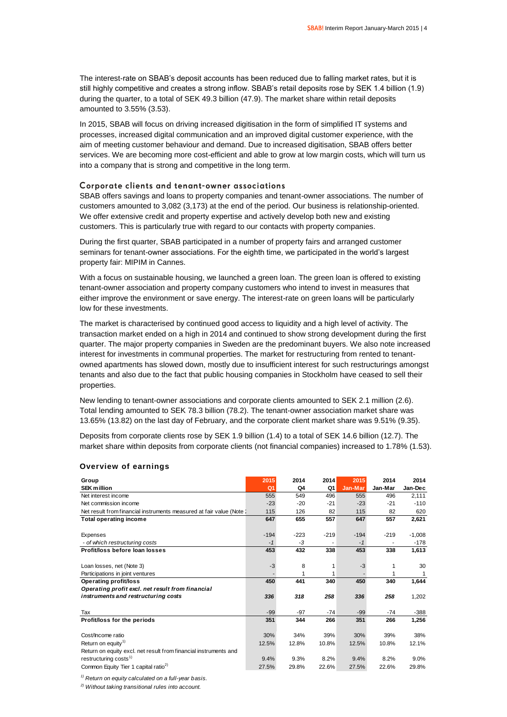The interest-rate on SBAB's deposit accounts has been reduced due to falling market rates, but it is still highly competitive and creates a strong inflow. SBAB's retail deposits rose by SEK 1.4 billion (1.9) during the quarter, to a total of SEK 49.3 billion (47.9). The market share within retail deposits amounted to 3.55% (3.53).

In 2015, SBAB will focus on driving increased digitisation in the form of simplified IT systems and processes, increased digital communication and an improved digital customer experience, with the aim of meeting customer behaviour and demand. Due to increased digitisation, SBAB offers better services. We are becoming more cost-efficient and able to grow at low margin costs, which will turn us into a company that is strong and competitive in the long term.

### Corporate clients and tenant-owner associations

SBAB offers savings and loans to property companies and tenant-owner associations. The number of customers amounted to 3,082 (3,173) at the end of the period. Our business is relationship-oriented. We offer extensive credit and property expertise and actively develop both new and existing customers. This is particularly true with regard to our contacts with property companies.

During the first quarter, SBAB participated in a number of property fairs and arranged customer seminars for tenant-owner associations. For the eighth time, we participated in the world's largest property fair: MIPIM in Cannes.

With a focus on sustainable housing, we launched a green loan. The green loan is offered to existing tenant-owner association and property company customers who intend to invest in measures that either improve the environment or save energy. The interest-rate on green loans will be particularly low for these investments.

The market is characterised by continued good access to liquidity and a high level of activity. The transaction market ended on a high in 2014 and continued to show strong development during the first quarter. The major property companies in Sweden are the predominant buyers. We also note increased interest for investments in communal properties. The market for restructuring from rented to tenantowned apartments has slowed down, mostly due to insufficient interest for such restructurings amongst tenants and also due to the fact that public housing companies in Stockholm have ceased to sell their properties.

New lending to tenant-owner associations and corporate clients amounted to SEK 2.1 million (2.6). Total lending amounted to SEK 78.3 billion (78.2). The tenant-owner association market share was 13.65% (13.82) on the last day of February, and the corporate client market share was 9.51% (9.35).

Deposits from corporate clients rose by SEK 1.9 billion (1.4) to a total of SEK 14.6 billion (12.7). The market share within deposits from corporate clients (not financial companies) increased to 1.78% (1.53).

| Group                                                                 | 2015           | 2014   | 2014   | 2015    | 2014    | 2014     |
|-----------------------------------------------------------------------|----------------|--------|--------|---------|---------|----------|
| <b>SEK million</b>                                                    | Q <sub>1</sub> | Q4     | Q1     | Jan-Mar | Jan-Mar | Jan-Dec  |
| Net interest income                                                   | 555            | 549    | 496    | 555     | 496     | 2,111    |
| Net commission income                                                 | $-23$          | $-20$  | $-21$  | $-23$   | $-21$   | $-110$   |
| Net result from financial instruments measured at fair value (Note 1) | 115            | 126    | 82     | 115     | 82      | 620      |
| <b>Total operating income</b>                                         | 647            | 655    | 557    | 647     | 557     | 2,621    |
|                                                                       |                |        |        |         |         |          |
| Expenses                                                              | $-194$         | $-223$ | $-219$ | $-194$  | $-219$  | $-1,008$ |
| - of which restructuring costs                                        | $-1$           | -3     |        | $-1$    |         | $-178$   |
| Profit/loss before loan losses                                        | 453            | 432    | 338    | 453     | 338     | 1,613    |
| Loan losses, net (Note 3)                                             | $-3$           | 8      | 1      | -3      |         | 30       |
| Participations in joint ventures                                      |                |        | 1      |         |         |          |
| Operating profit/loss                                                 | 450            | 441    | 340    | 450     | 340     | 1,644    |
| Operating profit excl. net result from financial                      |                |        |        |         |         |          |
| instruments and restructuring costs                                   | 336            | 318    | 258    | 336     | 258     | 1,202    |
|                                                                       |                |        |        |         |         |          |
| Tax                                                                   | $-99$          | $-97$  | $-74$  | $-99$   | $-74$   | $-388$   |
| Profit/loss for the periods                                           | 351            | 344    | 266    | 351     | 266     | 1,256    |
|                                                                       |                |        |        |         |         |          |
| Cost/Income ratio                                                     | 30%            | 34%    | 39%    | 30%     | 39%     | 38%      |
| Return on equity <sup>1)</sup>                                        | 12.5%          | 12.8%  | 10.8%  | 12.5%   | 10.8%   | 12.1%    |
| Return on equity excl. net result from financial instruments and      |                |        |        |         |         |          |
| restructuring costs <sup>1)</sup>                                     | 9.4%           | 9.3%   | 8.2%   | 9.4%    | 8.2%    | 9.0%     |
| Common Equity Tier 1 capital ratio <sup>2)</sup>                      | 27.5%          | 29.8%  | 22.6%  | 27.5%   | 22.6%   | 29.8%    |

### **Overview of earnings**

*1) Return on equity calculated on a full-year basis.*

*2) Without taking transitional rules into account.*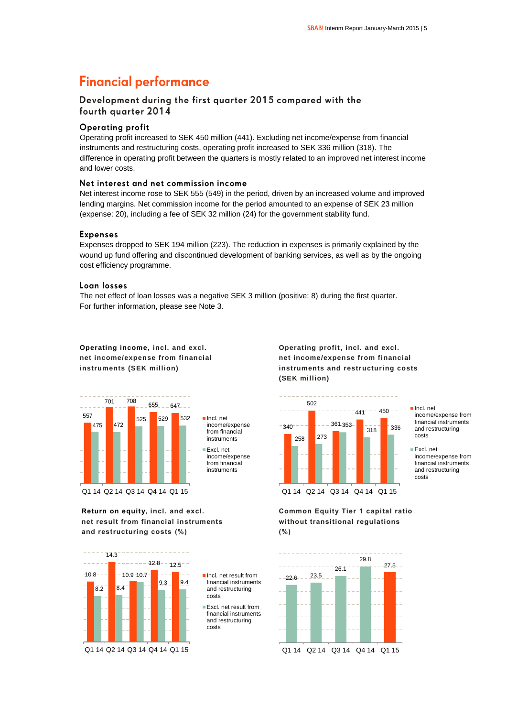### **Financial performance**

### Development during the first quarter 2015 compared with the fourth quarter 2014

### **Operating profit**

Operating profit increased to SEK 450 million (441). Excluding net income/expense from financial instruments and restructuring costs, operating profit increased to SEK 336 million (318). The difference in operating profit between the quarters is mostly related to an improved net interest income and lower costs.

### Net interest and net commission income

Net interest income rose to SEK 555 (549) in the period, driven by an increased volume and improved lending margins. Net commission income for the period amounted to an expense of SEK 23 million (expense: 20), including a fee of SEK 32 million (24) for the government stability fund.

### **Expenses**

Expenses dropped to SEK 194 million (223). The reduction in expenses is primarily explained by the wound up fund offering and discontinued development of banking services, as well as by the ongoing cost efficiency programme.

### Loan losses

The net effect of loan losses was a negative SEK 3 million (positive: 8) during the first quarter. For further information, please see Note 3.

**Operating income, incl. and excl. net income/expense from financial instruments (SEK million)** 



**Return on equity, incl. and excl. net result from financial instruments and restructuring costs (%)**



Incl. net result from financial instruments and restructuring costs

Excl. net result from financial instruments and restructuring costs





Incl. net income/expense from financial instruments and restructuring costs

**Common Equity Tier 1 capital ratio without transitional regulations (%)**



Excl. net income/expense from financial instruments and restructuring costs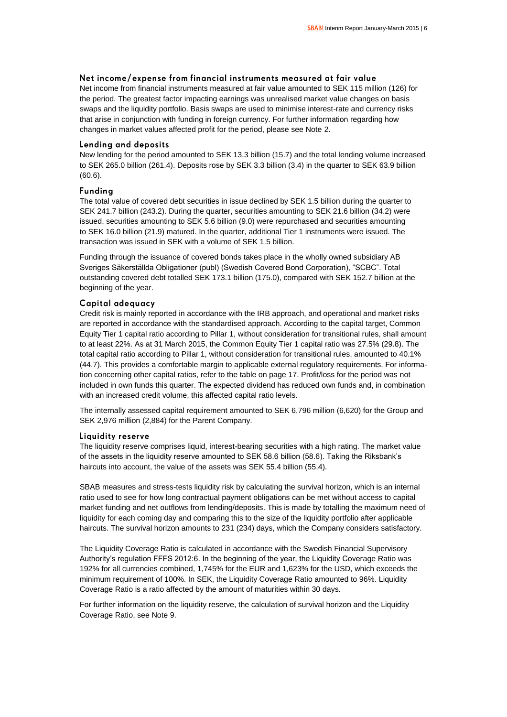### Net income/expense from financial instruments measured at fair value

Net income from financial instruments measured at fair value amounted to SEK 115 million (126) for the period. The greatest factor impacting earnings was unrealised market value changes on basis swaps and the liquidity portfolio. Basis swaps are used to minimise interest-rate and currency risks that arise in conjunction with funding in foreign currency. For further information regarding how changes in market values affected profit for the period, please see Note 2.

### Lending and deposits

New lending for the period amounted to SEK 13.3 billion (15.7) and the total lending volume increased to SEK 265.0 billion (261.4). Deposits rose by SEK 3.3 billion (3.4) in the quarter to SEK 63.9 billion (60.6).

### Funding

The total value of covered debt securities in issue declined by SEK 1.5 billion during the quarter to SEK 241.7 billion (243.2). During the quarter, securities amounting to SEK 21.6 billion (34.2) were issued, securities amounting to SEK 5.6 billion (9.0) were repurchased and securities amounting to SEK 16.0 billion (21.9) matured. In the quarter, additional Tier 1 instruments were issued. The transaction was issued in SEK with a volume of SEK 1.5 billion.

Funding through the issuance of covered bonds takes place in the wholly owned subsidiary AB Sveriges Säkerställda Obligationer (publ) (Swedish Covered Bond Corporation), "SCBC". Total outstanding covered debt totalled SEK 173.1 billion (175.0), compared with SEK 152.7 billion at the beginning of the year.

### Capital adequacy

Credit risk is mainly reported in accordance with the IRB approach, and operational and market risks are reported in accordance with the standardised approach. According to the capital target, Common Equity Tier 1 capital ratio according to Pillar 1, without consideration for transitional rules, shall amount to at least 22%. As at 31 March 2015, the Common Equity Tier 1 capital ratio was 27.5% (29.8). The total capital ratio according to Pillar 1, without consideration for transitional rules, amounted to 40.1% (44.7). This provides a comfortable margin to applicable external regulatory requirements. For information concerning other capital ratios, refer to the table on page 17. Profit/loss for the period was not included in own funds this quarter. The expected dividend has reduced own funds and, in combination with an increased credit volume, this affected capital ratio levels.

The internally assessed capital requirement amounted to SEK 6,796 million (6,620) for the Group and SEK 2,976 million (2,884) for the Parent Company.

### Liquidity reserve

The liquidity reserve comprises liquid, interest-bearing securities with a high rating. The market value of the assets in the liquidity reserve amounted to SEK 58.6 billion (58.6). Taking the Riksbank's haircuts into account, the value of the assets was SEK 55.4 billion (55.4).

SBAB measures and stress-tests liquidity risk by calculating the survival horizon, which is an internal ratio used to see for how long contractual payment obligations can be met without access to capital market funding and net outflows from lending/deposits. This is made by totalling the maximum need of liquidity for each coming day and comparing this to the size of the liquidity portfolio after applicable haircuts. The survival horizon amounts to 231 (234) days, which the Company considers satisfactory.

The Liquidity Coverage Ratio is calculated in accordance with the Swedish Financial Supervisory Authority's regulation FFFS 2012:6. In the beginning of the year, the Liquidity Coverage Ratio was 192% for all currencies combined, 1,745% for the EUR and 1,623% for the USD, which exceeds the minimum requirement of 100%. In SEK, the Liquidity Coverage Ratio amounted to 96%. Liquidity Coverage Ratio is a ratio affected by the amount of maturities within 30 days.

For further information on the liquidity reserve, the calculation of survival horizon and the Liquidity Coverage Ratio, see Note 9.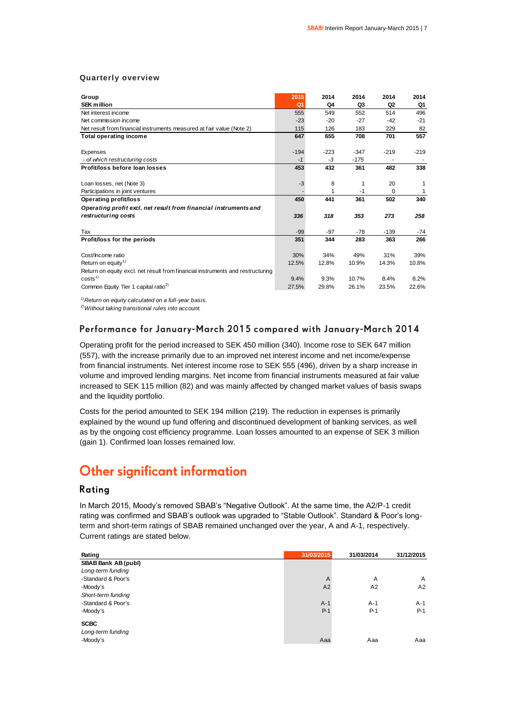### **Quarterly overview**

| Group                                                                          | 2015           | 2014   | 2014   | 2014           | 2014   |
|--------------------------------------------------------------------------------|----------------|--------|--------|----------------|--------|
| <b>SEK million</b>                                                             | Q <sub>1</sub> | Q4     | Q3     | Q <sub>2</sub> | Q1     |
| Net interest income                                                            | 555            | 549    | 552    | 514            | 496    |
| Net commission income                                                          | $-23$          | $-20$  | $-27$  | $-42$          | $-21$  |
| Net result from financial instruments measured at fair value (Note 2)          | 115            | 126    | 183    | 229            | 82     |
| <b>Total operating income</b>                                                  | 647            | 655    | 708    | 701            | 557    |
| Expenses                                                                       | $-194$         | $-223$ | $-347$ | $-219$         | $-219$ |
| - of which restructuring costs                                                 | $-1$           | $-3$   | $-175$ |                |        |
| Profit/loss before loan losses                                                 | 453            | 432    | 361    | 482            | 338    |
| Loan losses, net (Note 3)                                                      | $-3$           | 8      | 1      | 20             | 1      |
| Participations in joint ventures                                               |                | 1      | $-1$   | $\Omega$       | 1      |
| <b>Operating profit/loss</b>                                                   | 450            | 441    | 361    | 502            | 340    |
| Operating profit excl. net result from financial instruments and               |                |        |        |                |        |
| restructuring costs                                                            | 336            | 318    | 353    | 273            | 258    |
| Tax                                                                            | $-99$          | $-97$  | $-78$  | $-139$         | $-74$  |
| Profit/loss for the periods                                                    | 351            | 344    | 283    | 363            | 266    |
| Cost/Income ratio                                                              | 30%            | 34%    | 49%    | 31%            | 39%    |
| Return on equity <sup>1)</sup>                                                 | 12.5%          | 12.8%  | 10.9%  | 14.3%          | 10.8%  |
| Return on equity excl. net result from financial instruments and restructuring |                |        |        |                |        |
| costs <sup>1</sup>                                                             | 9.4%           | 9.3%   | 10.7%  | 8.4%           | 8.2%   |
| Common Equity Tier 1 capital ratio <sup>2)</sup>                               | 27.5%          | 29.8%  | 26.1%  | 23.5%          | 22.6%  |

*1)Return on equity calculated on a full-year basis.*

*2)Without taking transitional rules into account.*

### Performance for January-March 2015 compared with January-March 2014

Operating profit for the period increased to SEK 450 million (340). Income rose to SEK 647 million (557), with the increase primarily due to an improved net interest income and net income/expense from financial instruments. Net interest income rose to SEK 555 (496), driven by a sharp increase in volume and improved lending margins. Net income from financial instruments measured at fair value increased to SEK 115 million (82) and was mainly affected by changed market values of basis swaps and the liquidity portfolio.

Costs for the period amounted to SEK 194 million (219). The reduction in expenses is primarily explained by the wound up fund offering and discontinued development of banking services, as well as by the ongoing cost efficiency programme. Loan losses amounted to an expense of SEK 3 million (gain 1). Confirmed loan losses remained low.

### **Other significant information**

### Rating

In March 2015, Moody's removed SBAB's "Negative Outlook". At the same time, the A2/P-1 credit rating was confirmed and SBAB's outlook was upgraded to "Stable Outlook". Standard & Poor's longterm and short-term ratings of SBAB remained unchanged over the year, A and A-1, respectively. Current ratings are stated below.

| Rating                     | 31/03/2015 | 31/03/2014 | 31/12/2015     |
|----------------------------|------------|------------|----------------|
| <b>SBAB Bank AB (publ)</b> |            |            |                |
| Long-term funding          |            |            |                |
| -Standard & Poor's         | A          | A          | $\overline{A}$ |
| -Moody's                   | A2         | A2         | A2             |
| Short-term funding         |            |            |                |
| -Standard & Poor's         | $A-1$      | $A-1$      | $A-1$          |
| -Moody's                   | $P-1$      | $P-1$      | $P-1$          |
| <b>SCBC</b>                |            |            |                |
| Long-term funding          |            |            |                |
| -Moody's                   | Aaa        | Aaa        | Aaa            |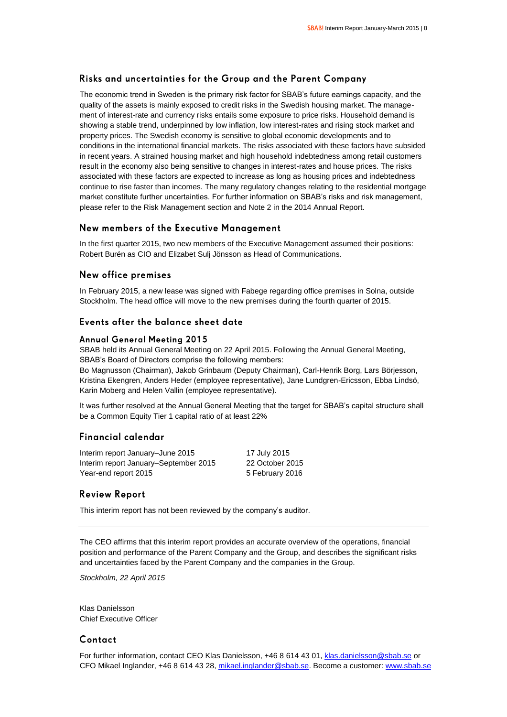### Risks and uncertainties for the Group and the Parent Company

The economic trend in Sweden is the primary risk factor for SBAB's future earnings capacity, and the quality of the assets is mainly exposed to credit risks in the Swedish housing market. The management of interest-rate and currency risks entails some exposure to price risks. Household demand is showing a stable trend, underpinned by low inflation, low interest-rates and rising stock market and property prices. The Swedish economy is sensitive to global economic developments and to conditions in the international financial markets. The risks associated with these factors have subsided in recent years. A strained housing market and high household indebtedness among retail customers result in the economy also being sensitive to changes in interest-rates and house prices. The risks associated with these factors are expected to increase as long as housing prices and indebtedness continue to rise faster than incomes. The many regulatory changes relating to the residential mortgage market constitute further uncertainties. For further information on SBAB's risks and risk management, please refer to the Risk Management section and Note 2 in the 2014 Annual Report.

### New members of the Executive Management

In the first quarter 2015, two new members of the Executive Management assumed their positions: Robert Burén as CIO and Elizabet Sulj Jönsson as Head of Communications.

### New office premises

In February 2015, a new lease was signed with Fabege regarding office premises in Solna, outside Stockholm. The head office will move to the new premises during the fourth quarter of 2015.

### Events after the balance sheet date

### **Annual General Meeting 2015**

SBAB held its Annual General Meeting on 22 April 2015. Following the Annual General Meeting, SBAB's Board of Directors comprise the following members:

Bo Magnusson (Chairman), Jakob Grinbaum (Deputy Chairman), Carl-Henrik Borg, Lars Börjesson, Kristina Ekengren, Anders Heder (employee representative), Jane Lundgren-Ericsson, Ebba Lindsö, Karin Moberg and Helen Vallin (employee representative).

It was further resolved at the Annual General Meeting that the target for SBAB's capital structure shall be a Common Equity Tier 1 capital ratio of at least 22%

### Financial calendar

| Interim report January-June 2015      | 17 July 2015    |
|---------------------------------------|-----------------|
| Interim report January–September 2015 | 22 October 2015 |
| Year-end report 2015                  | 5 February 2016 |

### **Review Report**

This interim report has not been reviewed by the company's auditor.

The CEO affirms that this interim report provides an accurate overview of the operations, financial position and performance of the Parent Company and the Group, and describes the significant risks and uncertainties faced by the Parent Company and the companies in the Group.

*Stockholm, 22 April 2015*

Klas Danielsson Chief Executive Officer

### Contact

For further information, contact CEO Klas Danielsson, +46 8 614 43 01, [klas.danielsson@sbab.se](mailto:klas.danielsson@sbab.se) or CFO Mikael Inglander, +46 8 614 43 28[, mikael.inglander@sbab.se.](mailto:mikael.inglander@sbab.se) Become a customer[: www.sbab.se](http://www.sbab.se/)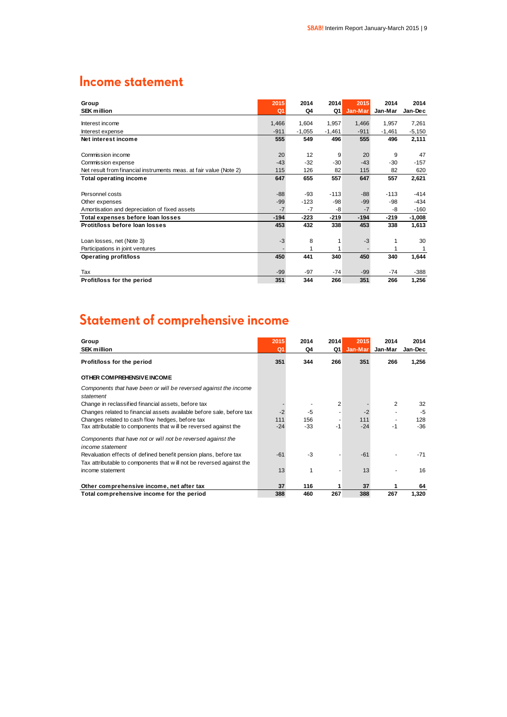### **Income statement**

| Group<br><b>SEK million</b>                                        | 2015<br>Q <sub>1</sub> | 2014<br>Q4 | 2014<br>Q1 | 2015<br>Jan-Mar | 2014<br>Jan-Mar | 2014<br>Jan-Dec |
|--------------------------------------------------------------------|------------------------|------------|------------|-----------------|-----------------|-----------------|
|                                                                    |                        |            |            |                 |                 |                 |
| Interest income                                                    | 1,466                  | 1,604      | 1,957      | 1,466           | 1,957           | 7,261           |
| Interest expense                                                   | $-911$                 | $-1,055$   | $-1,461$   | $-911$          | $-1,461$        | $-5,150$        |
| Net interest income                                                | 555                    | 549        | 496        | 555             | 496             | 2,111           |
|                                                                    |                        |            |            |                 |                 |                 |
| Commission income                                                  | 20                     | 12         | 9          | 20              | 9               | 47              |
| Commission expense                                                 | $-43$                  | $-32$      | $-30$      | $-43$           | $-30$           | $-157$          |
| Net result from financial instruments meas. at fair value (Note 2) | 115                    | 126        | 82         | 115             | 82              | 620             |
| <b>Total operating income</b>                                      | 647                    | 655        | 557        | 647             | 557             | 2,621           |
|                                                                    |                        |            |            |                 |                 |                 |
| Personnel costs                                                    | $-88$                  | -93        | $-113$     | $-88$           | $-113$          | $-414$          |
| Other expenses                                                     | $-99$                  | $-123$     | -98        | $-99$           | $-98$           | $-434$          |
| Amortisation and depreciation of fixed assets                      | $-7$                   | $-7$       | -8         | $-7$            | -8              | $-160$          |
| Total expenses before loan losses                                  | $-194$                 | $-223$     | $-219$     | $-194$          | $-219$          | $-1,008$        |
| Protit/loss before loan losses                                     | 453                    | 432        | 338        | 453             | 338             | 1,613           |
|                                                                    |                        |            |            |                 |                 |                 |
| Loan losses, net (Note 3)                                          | $-3$                   | 8          |            | $-3$            |                 | 30              |
| Participations in joint ventures                                   |                        |            |            |                 |                 |                 |
| <b>Operating profit/loss</b>                                       | 450                    | 441        | 340        | 450             | 340             | 1,644           |
|                                                                    |                        |            |            |                 |                 |                 |
| Tax                                                                | $-99$                  | $-97$      | $-74$      | $-99$           | $-74$           | -388            |
| Profit/loss for the period                                         | 351                    | 344        | 266        | 351             | 266             | 1,256           |

# Statement of comprehensive income

| Group<br><b>SEK million</b>                                                      | 2015<br>Q <sub>1</sub> | 2014<br>Q4 | 2014<br>Q1     | 2015<br>Jan-Mar | 2014<br>Jan-Mar | 2014<br>Jan-Dec |
|----------------------------------------------------------------------------------|------------------------|------------|----------------|-----------------|-----------------|-----------------|
| Profit/loss for the period                                                       | 351                    | 344        | 266            | 351             | 266             | 1,256           |
| OTHER COMPREHENSIVE INCOME                                                       |                        |            |                |                 |                 |                 |
| Components that have been or will be reversed against the income<br>statement    |                        |            |                |                 |                 |                 |
| Change in reclassified financial assets, before tax                              |                        |            | $\overline{2}$ |                 | 2               | 32              |
| Changes related to financial assets available before sale, before tax            | $-2$                   | -5         |                | $-2$            |                 | $-5$            |
| Changes related to cash flow hedges, before tax                                  | 111                    | 156        |                | 111             |                 | 128             |
| Tax attributable to components that will be reversed against the                 | $-24$                  | -33        | - 1            | $-24$           | $-1$            | $-36$           |
| Components that have not or will not be reversed against the<br>income statement |                        |            |                |                 |                 |                 |
| Revaluation effects of defined benefit pension plans, before tax                 | $-61$                  | $-3$       |                | $-61$           |                 | $-71$           |
| Tax attributable to components that will not be reversed against the             |                        |            |                |                 |                 |                 |
| income statement                                                                 | 13                     | 1          |                | 13              |                 | 16              |
| Other comprehensive income, net after tax                                        | 37                     | 116        |                | 37              |                 | 64              |
| Total comprehensive income for the period                                        | 388                    | 460        | 267            | 388             | 267             | 1,320           |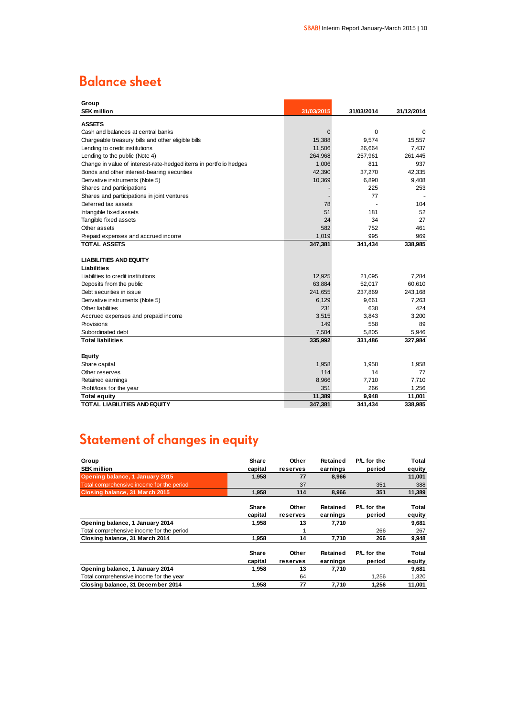# **Balance sheet**

| Group                                                             |                |            |            |
|-------------------------------------------------------------------|----------------|------------|------------|
| <b>SEK million</b>                                                | 31/03/2015     | 31/03/2014 | 31/12/2014 |
| <b>ASSETS</b>                                                     |                |            |            |
| Cash and balances at central banks                                | $\overline{0}$ | 0          | 0          |
| Chargeable treasury bills and other eligible bills                | 15,388         | 9,574      | 15,557     |
| Lending to credit institutions                                    | 11,506         | 26,664     | 7,437      |
| Lending to the public (Note 4)                                    | 264,968        | 257,961    | 261,445    |
| Change in value of interest-rate-hedged items in portfolio hedges | 1,006          | 811        | 937        |
| Bonds and other interest-bearing securities                       | 42,390         | 37,270     | 42,335     |
| Derivative instruments (Note 5)                                   | 10,369         | 6,890      | 9,408      |
| Shares and participations                                         |                | 225        | 253        |
| Shares and participations in joint ventures                       |                | 77         |            |
| Deferred tax assets                                               | 78             |            | 104        |
| Intangible fixed assets                                           | 51             | 181        | 52         |
| Tangible fixed assets                                             | 24             | 34         | 27         |
| Other assets                                                      | 582            | 752        | 461        |
| Prepaid expenses and accrued income                               | 1,019          | 995        | 969        |
| <b>TOTAL ASSETS</b>                                               | 347,381        | 341,434    | 338,985    |
| <b>LIABILITIES AND EQUITY</b>                                     |                |            |            |
| Liabilities                                                       |                |            |            |
| Liabilities to credit institutions                                | 12,925         | 21,095     | 7.284      |
| Deposits from the public                                          | 63,884         | 52,017     | 60,610     |
| Debt securities in issue                                          | 241,655        | 237,869    | 243,168    |
| Derivative instruments (Note 5)                                   | 6,129          | 9,661      | 7,263      |
| Other liabilities                                                 | 231            | 638        | 424        |
| Accrued expenses and prepaid income                               | 3,515          | 3,843      | 3,200      |
| Provisions                                                        | 149            | 558        | 89         |
| Subordinated debt                                                 | 7,504          | 5,805      | 5,946      |
| <b>Total liabilities</b>                                          | 335,992        | 331,486    | 327,984    |
|                                                                   |                |            |            |
| <b>Equity</b>                                                     |                |            |            |
| Share capital                                                     | 1,958          | 1,958      | 1,958      |
| Other reserves                                                    | 114            | 14         | 77         |
| Retained earnings                                                 | 8,966          | 7,710      | 7,710      |
| Profit/loss for the year                                          | 351            | 266        | 1,256      |
| <b>Total equity</b>                                               | 11,389         | 9,948      | 11,001     |
| TOTAL LIABILITIES AND EQUITY                                      | 347,381        | 341,434    | 338,985    |

# Statement of changes in equity

| Group                                     | Share        | Other    | Retained | P/L for the | Total  |
|-------------------------------------------|--------------|----------|----------|-------------|--------|
| <b>SEK million</b>                        | capital      | reserves | earnings | period      | equity |
| Opening balance, 1 January 2015           | 1,958        | 77       | 8,966    |             | 11,001 |
| Total comprehensive income for the period |              | 37       |          | 351         | 388    |
| Closing balance, 31 March 2015            | 1,958        | 114      | 8.966    | 351         | 11,389 |
|                                           | <b>Share</b> | Other    | Retained | P/L for the | Total  |
|                                           | capital      | reserves | earnings | period      | equity |
| Opening balance, 1 January 2014           | 1,958        | 13       | 7,710    |             | 9,681  |
| Total comprehensive income for the period |              | 1        |          | 266         | 267    |
| Closing balance, 31 March 2014            | 1,958        | 14       | 7,710    | 266         | 9,948  |
|                                           | <b>Share</b> | Other    | Retained | P/L for the | Total  |
|                                           | capital      | reserves | earnings | period      | equity |
| Opening balance, 1 January 2014           | 1,958        | 13       | 7,710    |             | 9,681  |
| Total comprehensive income for the year   |              | 64       |          | 1.256       | 1,320  |
| Closing balance, 31 December 2014         | 1,958        | 77       | 7,710    | 1,256       | 11,001 |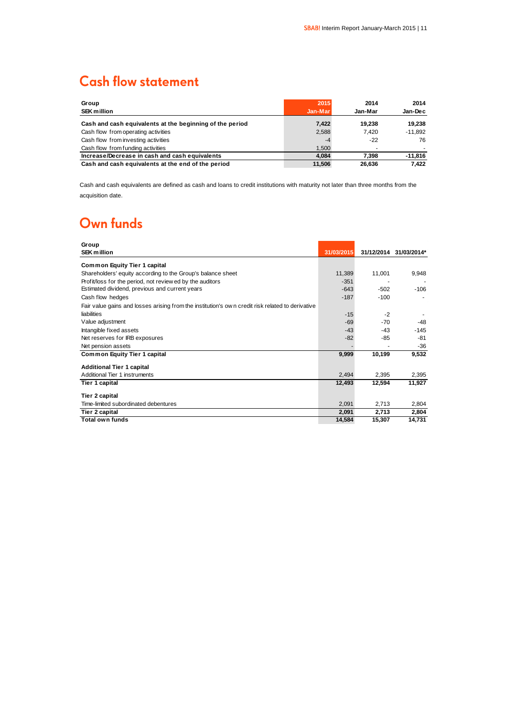# **Cash flow statement**

| Group<br><b>SEK million</b>                              | 2015<br>Jan-Mar | 2014<br>Jan-Mar | 2014<br>Jan-Dec |
|----------------------------------------------------------|-----------------|-----------------|-----------------|
| Cash and cash equivalents at the beginning of the period | 7,422           | 19.238          | 19.238          |
| Cash flow from operating activities                      | 2,588           | 7.420           | $-11.892$       |
| Cash flow from investing activities                      | -4              | $-22$           | 76              |
| Cash flow from funding activities                        | 1.500           |                 |                 |
| Increase/Decrease in cash and cash equivalents           | 4.084           | 7.398           | $-11,816$       |
| Cash and cash equivalents at the end of the period       | 11.506          | 26.636          | 7.422           |

Cash and cash equivalents are defined as cash and loans to credit institutions with maturity not later than three months from the acquisition date.

# Own funds

| Group                                                                                            |            |                          |             |
|--------------------------------------------------------------------------------------------------|------------|--------------------------|-------------|
| <b>SEK million</b>                                                                               | 31/03/2015 | 31/12/2014               | 31/03/2014* |
| <b>Common Equity Tier 1 capital</b>                                                              |            |                          |             |
| Shareholders' equity according to the Group's balance sheet                                      | 11,389     | 11,001                   | 9,948       |
| Profit/loss for the period, not review ed by the auditors                                        | $-351$     |                          |             |
| Estimated dividend, previous and current years                                                   | $-643$     | $-502$                   | $-106$      |
| Cash flow hedges                                                                                 | $-187$     | $-100$                   |             |
| Fair value gains and losses arising from the institution's own credit risk related to derivative |            |                          |             |
| liabilities                                                                                      | $-15$      | $-2$                     |             |
| Value adjustment                                                                                 | $-69$      | $-70$                    | -48         |
| Intangible fixed assets                                                                          | $-43$      | $-43$                    | $-145$      |
| Net reserves for IRB exposures                                                                   | $-82$      | -85                      | $-81$       |
| Net pension assets                                                                               |            | $\overline{\phantom{a}}$ | $-36$       |
| <b>Common Equity Tier 1 capital</b>                                                              | 9,999      | 10,199                   | 9,532       |
| <b>Additional Tier 1 capital</b>                                                                 |            |                          |             |
| Additional Tier 1 instruments                                                                    | 2,494      | 2,395                    | 2,395       |
| Tier 1 capital                                                                                   | 12,493     | 12,594                   | 11,927      |
| <b>Tier 2 capital</b>                                                                            |            |                          |             |
| Time-limited subordinated debentures                                                             | 2,091      | 2,713                    | 2,804       |
| Tier 2 capital                                                                                   | 2,091      | 2,713                    | 2,804       |
| Total own funds                                                                                  | 14,584     | 15,307                   | 14,731      |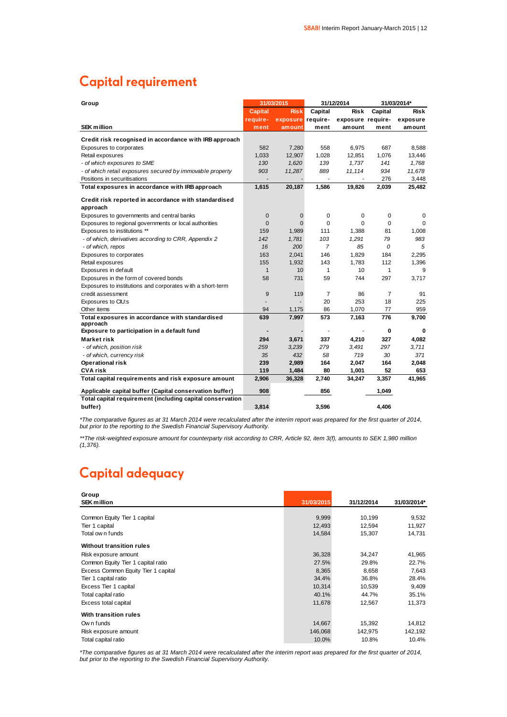# **Capital requirement**

| Group                                                       |                | 31/03/2015  |                | 31/12/2014               |                | 31/03/2014* |  |
|-------------------------------------------------------------|----------------|-------------|----------------|--------------------------|----------------|-------------|--|
|                                                             | <b>Capital</b> | <b>Risk</b> | Capital        | <b>Risk</b>              | Capital        | <b>Risk</b> |  |
|                                                             | require-       | exposure    | require-       | exposure require-        |                | exposure    |  |
| <b>SEK</b> million                                          | ment           | amount      | ment           | amount                   | ment           | amount      |  |
| Credit risk recognised in accordance with IRB approach      |                |             |                |                          |                |             |  |
| Exposures to corporates                                     | 582            | 7,280       | 558            | 6,975                    | 687            | 8.588       |  |
| Retail exposures                                            | 1,033          | 12,907      | 1,028          | 12,851                   | 1,076          | 13,446      |  |
| - of which exposures to SME                                 | 130            | 1.620       | 139            | 1.737                    | 141            | 1.768       |  |
| - of which retail exposures secured by immovable property   | 903            | 11,287      | 889            | 11,114                   | 934            | 11,678      |  |
| Positions in securitisations                                |                |             |                | $\overline{\phantom{a}}$ | 276            | 3,448       |  |
| Total exposures in accordance with IRB approach             | 1,615          | 20,187      | 1,586          | 19,826                   | 2,039          | 25,482      |  |
| Credit risk reported in accordance with standardised        |                |             |                |                          |                |             |  |
| approach                                                    |                |             |                |                          |                |             |  |
| Exposures to governments and central banks                  | 0              | 0           | 0              | 0                        | 0              | 0           |  |
| Exposures to regional governments or local authorities      | $\mathbf 0$    | $\Omega$    | $\Omega$       | $\Omega$                 | $\Omega$       | $\Omega$    |  |
| Exposures to institutions **                                | 159            | 1,989       | 111            | 1,388                    | 81             | 1,008       |  |
| - of which, derivatives according to CRR, Appendix 2        | 142            | 1,781       | 103            | 1,291                    | 79             | 983         |  |
| - of which, repos                                           | 16             | 200         | $\overline{7}$ | 85                       | 0              | 5           |  |
| Exposures to corporates                                     | 163            | 2,041       | 146            | 1,829                    | 184            | 2,295       |  |
| Retail exposures                                            | 155            | 1,932       | 143            | 1,783                    | 112            | 1,396       |  |
| Exposures in default                                        | $\mathbf{1}$   | 10          | $\mathbf{1}$   | 10                       | 1              | 9           |  |
| Exposures in the form of covered bonds                      | 58             | 731         | 59             | 744                      | 297            | 3,717       |  |
| Exposures to institutions and corporates with a short-term  |                |             |                |                          |                |             |  |
| credit assessment                                           | 9              | 119         | $\overline{7}$ | 86                       | $\overline{7}$ | 91          |  |
| Exposures to CIU:s                                          |                |             | 20             | 253                      | 18             | 225         |  |
| Other items                                                 | 94             | 1,175       | 86             | 1,070                    | 77             | 959         |  |
| Total exposures in accordance with standardised<br>approach | 639            | 7.997       | 573            | 7.163                    | 776            | 9.700       |  |
| Exposure to participation in a default fund                 |                |             |                | $\blacksquare$           | 0              | 0           |  |
| Market risk                                                 | 294            | 3,671       | 337            | 4,210                    | 327            | 4,082       |  |
| - of which, position risk                                   | 259            | 3.239       | 279            | 3.491                    | 297            | 3,711       |  |
| - of which, currency risk                                   | 35             | 432         | 58             | 719                      | 30             | 371         |  |
| Operational risk                                            | 239            | 2,989       | 164            | 2,047                    | 164            | 2,048       |  |
| <b>CVA risk</b>                                             | 119            | 1,484       | 80             | 1,001                    | 52             | 653         |  |
| Total capital requirements and risk exposure amount         | 2,906          | 36,328      | 2,740          | 34,247                   | 3,357          | 41,965      |  |
| Applicable capital buffer (Capital conservation buffer)     | 908            |             | 856            |                          | 1,049          |             |  |
| Total capital requirement (including capital conservation   |                |             |                |                          |                |             |  |
| buffer)                                                     | 3.814          |             | 3.596          |                          | 4.406          |             |  |

*\*The comparative figures as at 31 March 2014 were recalculated after the interim report was prepared for the first quarter of 2014, but prior to the reporting to the Swedish Financial Supervisory Authority.*

*\*\*The risk-weighted exposure amount for counterparty risk according to CRR, Article 92, item 3(f), amounts to SEK 1,980 million (1,376).*

# Capital adequacy

| Group                               |            |            |             |
|-------------------------------------|------------|------------|-------------|
| <b>SEK million</b>                  | 31/03/2015 | 31/12/2014 | 31/03/2014* |
|                                     |            |            |             |
| Common Equity Tier 1 capital        | 9,999      | 10,199     | 9,532       |
| Tier 1 capital                      | 12,493     | 12,594     | 11,927      |
| Total ow n funds                    | 14,584     | 15,307     | 14,731      |
| Without transition rules            |            |            |             |
| Risk exposure amount                | 36,328     | 34,247     | 41,965      |
| Common Equity Tier 1 capital ratio  | 27.5%      | 29.8%      | 22.7%       |
| Excess Common Equity Tier 1 capital | 8,365      | 8,658      | 7,643       |
| Tier 1 capital ratio                | 34.4%      | 36.8%      | 28.4%       |
| Excess Tier 1 capital               | 10,314     | 10,539     | 9,409       |
| Total capital ratio                 | 40.1%      | 44.7%      | 35.1%       |
| Excess total capital                | 11,678     | 12,567     | 11,373      |
| With transition rules               |            |            |             |
| Own funds                           | 14,667     | 15,392     | 14,812      |
| Risk exposure amount                | 146,068    | 142,975    | 142,192     |
| Total capital ratio                 | 10.0%      | 10.8%      | 10.4%       |

*\*The comparative figures as at 31 March 2014 were recalculated after the interim report was prepared for the first quarter of 2014, but prior to the reporting to the Swedish Financial Supervisory Authority.*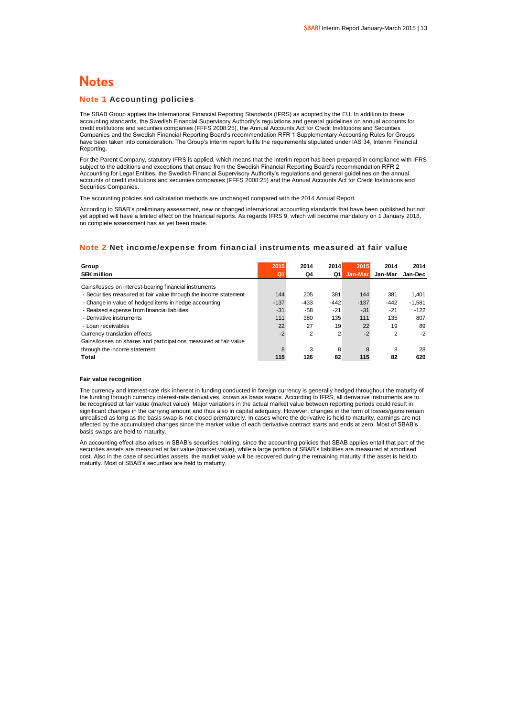### **Notes**

### **Note 1 Accounting policies**

The SBAB Group applies the International Financial Reporting Standards (IFRS) as adopted by the EU. In addition to these accounting standards, the Swedish Financial Supervisory Authority's regulations and general guidelines on annual accounts for credit institutions and securities companies (FFFS 2008:25), the Annual Accounts Act for Credit Institutions and Securities Companies and the Swedish Financial Reporting Board's recommendation RFR 1 Supplementary Accounting Rules for Groups have been taken into consideration. The Group's interim report fulfils the requirements stipulated under IAS 34, Interim Financial Reporting.

For the Parent Company, statutory IFRS is applied, which means that the interim report has been prepared in compliance with IFRS subject to the additions and exceptions that ensue from the Swedish Financial Reporting Board's recommendation RFR 2 Accounting for Legal Entities, the Swedish Financial Supervisory Authority's regulations and general guidelines on the annual accounts of credit institutions and securities companies (FFFS 2008:25) and the Annual Accounts Act for Credit Institutions and Securities Companies.

The accounting policies and calculation methods are unchanged compared with the 2014 Annual Report.

According to SBAB's preliminary assessment, new or changed international accounting standards that have been published but not yet applied will have a limited effect on the financial reports. As regards IFRS 9, which will become mandatory on 1 January 2018, no complete assessment has as yet been made.

### **Note 2 Net income/expense from financial instruments measured at fair value**

| Group                                                            | 2015   | 2014   | 2014   | 2015    | 2014    | 2014     |
|------------------------------------------------------------------|--------|--------|--------|---------|---------|----------|
| <b>SEK million</b>                                               | Q1     | Q4     | Q1     | Jan-Mar | Jan-Mar | Jan-Dec  |
| Gains/losses on interest-bearing financial instruments           |        |        |        |         |         |          |
| - Securities measured at fair value through the income statement | 144    | 205    | 381    | 144     | 381     | 1.401    |
| - Change in value of hedged items in hedge accounting            | $-137$ | $-433$ | $-442$ | $-137$  | $-442$  | $-1.581$ |
| - Realised expense from financial liabilities                    | $-31$  | -58    | $-21$  | $-31$   | $-21$   | $-122$   |
| - Derivative instruments                                         | 111    | 380    | 135    | 111     | 135     | 807      |
| - Loan receivables                                               | 22     | 27     | 19     | 22      | 19      | 89       |
| Currency translation effects                                     | $-2$   | 2      | 2      | $-2$    | 2       | $-2$     |
| Gains/losses on shares and participations measured at fair value |        |        |        |         |         |          |
| through the income statement                                     | 8      | 3      | 8      | 8       | 8       | 28       |
| Total                                                            | 115    | 126    | 82     | 115     | 82      | 620      |

#### **Fair value recognition**

The currency and interest-rate risk inherent in funding conducted in foreign currency is generally hedged throughout the maturity of the funding through currency interest-rate derivatives, known as basis swaps. According to IFRS, all derivative instruments are to be recognised at fair value (market value). Major variations in the actual market value between reporting periods could result in significant changes in the carrying amount and thus also in capital adequacy. However, changes in the form of losses/gains remain unrealised as long as the basis swap is not closed prematurely. In cases where the derivative is held to maturity, earnings are not affected by the accumulated changes since the market value of each derivative contract starts and ends at zero. Most of SBAB's basis swaps are held to maturity.

An accounting effect also arises in SBAB's securities holding, since the accounting policies that SBAB applies entail that part of the securities assets are measured at fair value (market value), while a large portion of SBAB's liabilities are measured at amortised cost. Also in the case of securities assets, the market value will be recovered during the remaining maturity if the asset is held to maturity. Most of SBAB's securities are held to maturity.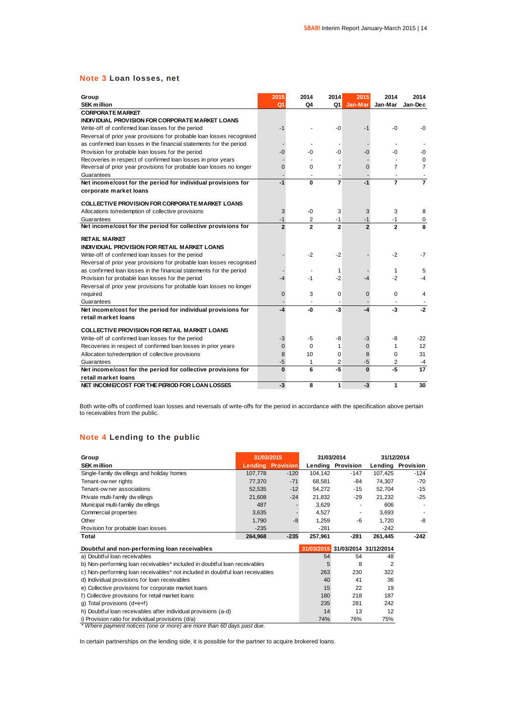### **Note 3 Loan losses, net**

| Group<br><b>SEK million</b>                                           | 2015<br>Q1     | 2014<br>Q4     | 2014<br>Q1     | 2015<br>Jan-Mar | 2014<br>Jan-Mar | 2014<br>Jan-Dec |
|-----------------------------------------------------------------------|----------------|----------------|----------------|-----------------|-----------------|-----------------|
| <b>CORPORATE MARKET</b>                                               |                |                |                |                 |                 |                 |
| INDIVIDUAL PROVISION FOR CORPORATE MARKET LOANS                       |                |                |                |                 |                 |                 |
| Write-off of confirmed loan losses for the period                     | $-1$           |                | -0             | -1              | -0              | -0              |
| Reversal of prior year provisions for probable loan losses recognised |                |                |                |                 |                 |                 |
| as confirmed loan losses in the financial statements for the period   |                |                |                |                 |                 |                 |
| Provision for probable loan losses for the period                     | $-0$           | -ሰ             | -በ             | $-0$            | -0              | -0              |
| Recoveries in respect of confirmed loan losses in prior years         |                |                |                |                 |                 | $\Omega$        |
| Reversal of prior year provisions for probable loan losses no longer  | $\overline{0}$ | $\Omega$       | $\overline{7}$ | $\Omega$        | 7               | 7               |
| Guarantees                                                            |                |                |                |                 |                 |                 |
| Net income/cost for the period for individual provisions for          | $-1$           | 0              | $\overline{7}$ | $-1$            | $\overline{7}$  | $\overline{7}$  |
| corporate market loans                                                |                |                |                |                 |                 |                 |
| <b>COLLECTIVE PROVISION FOR CORPORATE MARKET LOANS</b>                |                |                |                |                 |                 |                 |
| Allocations to/redemption of collective provisions                    | 3              | $-0$           | 3              | 3               | 3               | 8               |
| Guarantees                                                            | $-1$           | 2              | -1             | $-1$            | -1              | 0               |
| Net income/cost for the period for collective provisions for          | $\overline{2}$ | $\overline{2}$ | $\overline{2}$ | $\overline{2}$  | $\mathbf{2}$    | 8               |
| <b>RETAIL MARKET</b>                                                  |                |                |                |                 |                 |                 |
| INDIVIDUAL PROVISION FOR RETAIL MARKET LOANS                          |                |                |                |                 |                 |                 |
| Write-off of confirmed loan losses for the period                     |                | $-2$           | $-2$           |                 | $-2$            | $-7$            |
| Reversal of prior year provisions for probable loan losses recognised |                |                |                |                 |                 |                 |
| as confirmed loan losses in the financial statements for the period   |                |                | 1              |                 | 1               | 5               |
| Provision for probable loan losses for the period                     | $-4$           | $-1$           | $-2$           | -4              | $-2$            | -4              |
| Reversal of prior year provisions for probable loan losses no longer  |                |                |                |                 |                 |                 |
| required                                                              | 0              | 3              | $\Omega$       | $\Omega$        | 0               | 4               |
| Guarantees                                                            |                |                |                |                 |                 |                 |
| Net income/cost for the period for individual provisions for          | $-4$           | -0             | $-3$           | -4              | $-3$            | $-2$            |
| retail market loans                                                   |                |                |                |                 |                 |                 |
| <b>COLLECTIVE PROVISION FOR RETAIL MARKET LOANS</b>                   |                |                |                |                 |                 |                 |
| Write-off of confirmed loan losses for the period                     | $-3$           | $-5$           | -8             | -3              | -8              | $-22$           |
| Recoveries in respect of confirmed loan losses in prior years         | 0              | $\Omega$       | 1              | $\mathbf 0$     | $\mathbf{1}$    | 12              |
| Allocation to/redemption of collective provisions                     | 8              | 10             | $\Omega$       | 8               | $\Omega$        | 31              |
| Guarantees                                                            | -5             | 1              | 2              | -5              | 2               | -4              |
| Net income/cost for the period for collective provisions for          | O              | 6              | $-5$           | $\Omega$        | -5              | 17              |
| retail market loans                                                   |                |                |                |                 |                 |                 |
| NET INCOME/COST FOR THE PERIOD FOR LOAN LOSSES                        | $-3$           | 8              | 1              | -3              | 1               | 30              |

Both write-offs of confirmed loan losses and reversals of write-offs for the period in accordance with the specification above pertain to receivables from the public.

### **Note 4 Lending to the public**

| Group                                                                         | 31/03/2015 |                  |                | 31/03/2014        | 31/12/2014                       |                   |
|-------------------------------------------------------------------------------|------------|------------------|----------------|-------------------|----------------------------------|-------------------|
| <b>SEK million</b>                                                            | Lendina    | <b>Provision</b> |                | Lending Provision |                                  | Lending Provision |
| Single-family dw ellings and holiday homes                                    | 107,778    | $-120$           | 104,142        | $-147$            | 107,425                          | $-124$            |
| Tenant-ow ner rights                                                          | 77,370     | $-71$            | 68,581         | -84               | 74,307                           | $-70$             |
| Tenant-ow ner associations                                                    | 52,535     | $-12$            | 54.272         | $-15$             | 52.704                           | $-15$             |
| Private multi-family dwellings                                                | 21,608     | $-24$            | 21.832         | -29               | 21.232                           | $-25$             |
| Municipal multi-familiy dw ellings                                            | 487        |                  | 3,629          |                   | 606                              |                   |
| Commercial properties                                                         | 3,635      |                  | 4,527          |                   | 3,693                            | ÷,                |
| Other                                                                         | 1,790      | -8               | 1,259          | -6                | 1,720                            | -8                |
| Provision for probable loan losses                                            | $-235$     |                  | $-281$         |                   | $-242$                           |                   |
| Total                                                                         | 264,968    | $-235$           | 257,961        | -281              | 261,445                          | $-242$            |
| Doubtful and non-performing loan receivables                                  |            |                  |                |                   | 31/03/2015 31/03/2014 31/12/2014 |                   |
| a) Doubtful loan receivables                                                  |            |                  | 54             | 54                | 48                               |                   |
| b) Non-performing loan receivables* included in doubtful loan receivables     |            |                  | 5              | 8                 | 2                                |                   |
| c) Non-performing loan receivables* not included in doubtful loan receivables |            |                  | 263            | 230               | 322                              |                   |
| d) Individual provisions for loan receivables                                 |            |                  | 40             | 41                | 36                               |                   |
| e) Collective provisions for corporate market loans                           |            |                  | 15             | 22                | 19                               |                   |
| f) Collective provisions for retail market loans                              |            |                  | 180            | 218               | 187                              |                   |
| q) Total provisions $(d+e+f)$                                                 |            |                  | 235            | 281               | 242                              |                   |
|                                                                               |            |                  | $\overline{1}$ | $\sim$            | $\sim$                           |                   |

h) Doubtful loan receivables after individual provisions (a-d) 14 13 12

i) Provision ratio for individual provisions (d/a) *and the order of a care community of the more than 60 days past due.*<br>\* Where payment notices (one or more) are more than 60 days past due.

In certain partnerships on the lending side, it is possible for the partner to acquire brokered loans.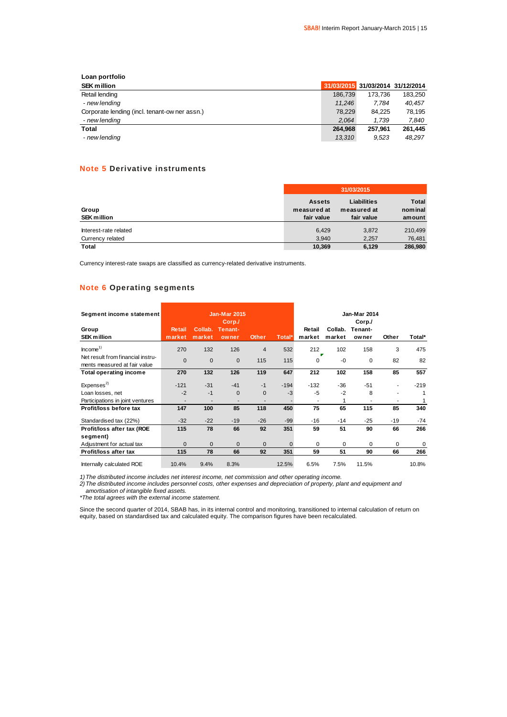### **Loan portfolio SEK million 31/03/2015 31/03/2014 31/12/2014 Retail lending 186,739 173,736 183,250 184, 186,739 173,736 183,250 183,250 183,250 183,250 183,250 183,250 183**  *- new lending 11,246 7,784 40,457* **SEK million**<br>
Retail lending<br>  $\begin{array}{@{}c@{\hspace{1cm}}c@{\hspace{1cm}}c@{\hspace{1cm}}c@{\hspace{1cm}}c@{\hspace{1cm}}c@{\hspace{1cm}}c@{\hspace{1cm}}c@{\hspace{1cm}}c@{\hspace{1cm}}c@{\hspace{1cm}}c@{\hspace{1cm}}c@{\hspace{1cm}}c@{\hspace{1cm}}c@{\hspace{1cm}}c@{\hspace{1cm}}c@{\hspace{1cm}}c@{\hspace{1cm}}c@{\hspace{1cm}}c@{\hspace{1cm}}c@{\hspace{1cm}}c@{\$  *- new lending 2,064 1,739 7,840* **Total 264,968 257,961 261,445**  *- new lending 13,310 9,523 48,297*

### **Note 5 Derivative instruments**

|                                           |                                            | 31/03/2015                                      |                                   |
|-------------------------------------------|--------------------------------------------|-------------------------------------------------|-----------------------------------|
| Group<br><b>SEK million</b>               | <b>Assets</b><br>measured at<br>fair value | <b>Liabilities</b><br>measured at<br>fair value | <b>Total</b><br>nominal<br>amount |
| Interest-rate related<br>Currency related | 6,429<br>3.940                             | 3,872<br>2,257                                  | 210,499<br>76,481                 |
| <b>Total</b>                              | 10,369                                     | 6,129                                           | 286,980                           |

Currency interest-rate swaps are classified as currency-related derivative instruments.

### **Note 6 Operating segments**

| Segment income statement                                          |                         |                          | <b>Jan-Mar 2015</b>       |              |          |                  |                   | <b>Jan-Mar 2014</b>        |                          |          |
|-------------------------------------------------------------------|-------------------------|--------------------------|---------------------------|--------------|----------|------------------|-------------------|----------------------------|--------------------------|----------|
| Group<br><b>SEK million</b>                                       | <b>Retail</b><br>market | Collab.<br>market        | Corp.<br>Tenant-<br>owner | <b>Other</b> | Total*   | Retail<br>market | Collab.<br>market | Corp./<br>Tenant-<br>owner | Other                    | Total*   |
| Income <sup>1</sup>                                               | 270                     | 132                      | 126                       | 4            | 532      | 212              | 102               | 158                        | 3                        | 475      |
| Net result from financial instru-<br>ments measured at fair value | $\mathbf{0}$            | $\mathbf 0$              | $\Omega$                  | 115          | 115      | $\Omega$         | $-0$              | $\Omega$                   | 82                       | 82       |
| <b>Total operating income</b>                                     | 270                     | 132                      | 126                       | 119          | 647      | 212              | 102               | 158                        | 85                       | 557      |
| Express <sup>2</sup>                                              | $-121$                  | $-31$                    | $-41$                     | $-1$         | $-194$   | $-132$           | $-36$             | $-51$                      | $\overline{\phantom{a}}$ | $-219$   |
| Loan losses, net                                                  | $-2$                    | $-1$                     | $\mathbf{0}$              | $\mathbf 0$  | $-3$     | $-5$             | $-2$              | 8                          |                          | 1        |
| Participations in joint ventures                                  |                         | $\overline{\phantom{a}}$ | ٠                         |              |          | ٠                |                   |                            | ۰                        | 1        |
| Profit/loss before tax                                            | 147                     | 100                      | 85                        | 118          | 450      | 75               | 65                | 115                        | 85                       | 340      |
| Standardised tax (22%)                                            | $-32$                   | $-22$                    | $-19$                     | $-26$        | $-99$    | $-16$            | $-14$             | $-25$                      | $-19$                    | $-74$    |
| Profit/loss after tax (ROE                                        | 115                     | 78                       | 66                        | 92           | 351      | 59               | 51                | 90                         | 66                       | 266      |
| segment)                                                          |                         |                          |                           |              |          |                  |                   |                            |                          |          |
| Adjustment for actual tax                                         | $\mathbf{0}$            | $\mathbf 0$              | $\mathbf{0}$              | $\Omega$     | $\Omega$ | $\Omega$         | $\Omega$          | $\Omega$                   | 0                        | $\Omega$ |
| Profit/loss after tax                                             | 115                     | 78                       | 66                        | 92           | 351      | 59               | 51                | 90                         | 66                       | 266      |
| Internally calculated ROE                                         | 10.4%                   | 9.4%                     | 8.3%                      |              | 12.5%    | 6.5%             | 7.5%              | 11.5%                      |                          | 10.8%    |

*1)The distributed income includes net interest income, net commission and other operating income.*

*2)The distributed income includes personnel costs, other expenses and depreciation of property, plant and equipment and amortisation of intangible fixed assets.*

*\*The total agrees with the external income statement.*

Since the second quarter of 2014, SBAB has, in its internal control and monitoring, transitioned to internal calculation of return on equity, based on standardised tax and calculated equity. The comparison figures have been recalculated.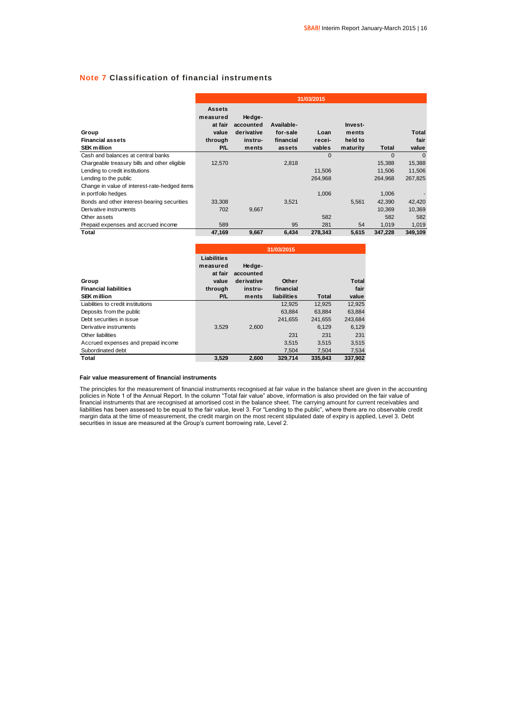### **Note 7 Classification of financial instruments**

|                                                        | 31/03/2015                                                      |                                                       |                                               |                          |                                         |          |                        |
|--------------------------------------------------------|-----------------------------------------------------------------|-------------------------------------------------------|-----------------------------------------------|--------------------------|-----------------------------------------|----------|------------------------|
| Group<br><b>Financial assets</b><br><b>SEK</b> million | Assets<br>measured<br>at fair<br>value<br>through<br><b>P/L</b> | Hedge-<br>accounted<br>derivative<br>instru-<br>ments | Available-<br>for-sale<br>financial<br>assets | Loan<br>recei-<br>vables | Invest-<br>ments<br>held to<br>maturity | Total    | Total<br>fair<br>value |
| Cash and balances at central banks                     |                                                                 |                                                       |                                               | $\Omega$                 |                                         | $\Omega$ | $\Omega$               |
| Chargeable treasury bills and other eligible           | 12,570                                                          |                                                       | 2,818                                         |                          |                                         | 15,388   | 15,388                 |
| Lending to credit institutions                         |                                                                 |                                                       |                                               | 11,506                   |                                         | 11,506   | 11,506                 |
| Lending to the public                                  |                                                                 |                                                       |                                               | 264,968                  |                                         | 264,968  | 267,825                |
| Change in value of interest-rate-hedged items          |                                                                 |                                                       |                                               |                          |                                         |          |                        |
| in portfolio hedges                                    |                                                                 |                                                       |                                               | 1,006                    |                                         | 1,006    |                        |
| Bonds and other interest-bearing securities            | 33,308                                                          |                                                       | 3,521                                         |                          | 5,561                                   | 42,390   | 42,420                 |
| Derivative instruments                                 | 702                                                             | 9,667                                                 |                                               |                          |                                         | 10.369   | 10,369                 |
| Other assets                                           |                                                                 |                                                       |                                               | 582                      |                                         | 582      | 582                    |
| Prepaid expenses and accrued income                    | 589                                                             |                                                       | 95                                            | 281                      | 54                                      | 1,019    | 1,019                  |
| Total                                                  | 47,169                                                          | 9,667                                                 | 6,434                                         | 278,343                  | 5,615                                   | 347,228  | 349,109                |

|                                       | 31/03/2015       |                         |                    |         |         |  |  |  |
|---------------------------------------|------------------|-------------------------|--------------------|---------|---------|--|--|--|
|                                       | Liabilities      |                         |                    |         |         |  |  |  |
|                                       | measured         | Hedge-                  |                    |         |         |  |  |  |
|                                       | at fair<br>value | accounted<br>derivative | Other              |         | Total   |  |  |  |
| Group<br><b>Financial liabilities</b> | through          | instru-                 | financial          |         | fair    |  |  |  |
|                                       |                  |                         |                    |         |         |  |  |  |
| <b>SEK million</b>                    | P/L              | ments                   | <b>liabilities</b> | Total   | value   |  |  |  |
| Liabilities to credit institutions    |                  |                         | 12,925             | 12,925  | 12.925  |  |  |  |
| Deposits from the public              |                  |                         | 63.884             | 63.884  | 63,884  |  |  |  |
| Debt securities in issue              |                  |                         | 241.655            | 241.655 | 243.684 |  |  |  |
| Derivative instruments                | 3.529            | 2.600                   |                    | 6.129   | 6.129   |  |  |  |
| Other liabilities                     |                  |                         | 231                | 231     | 231     |  |  |  |
| Accrued expenses and prepaid income   |                  |                         | 3,515              | 3.515   | 3.515   |  |  |  |
| Subordinated debt                     |                  |                         | 7,504              | 7.504   | 7,534   |  |  |  |
| Total                                 | 3.529            | 2.600                   | 329.714            | 335.843 | 337.902 |  |  |  |

### **Fair value measurement of financial instruments**

The principles for the measurement of financial instruments recognised at fair value in the balance sheet are given in the accounting policies in Note 1 of the Annual Report. In the column "Total fair value" above, information is also provided on the fair value of financial instruments that are recognised at amortised cost in the balance sheet. The carrying amount for current receivables and liabilities has been assessed to be equal to the fair value, level 3. For "Lending to the public", where there are no observable credit margin data at the time of measurement, the credit margin on the most recent stipulated date of expiry is applied, Level 3. Debt securities in issue are measured at the Group's current borrowing rate, Level 2.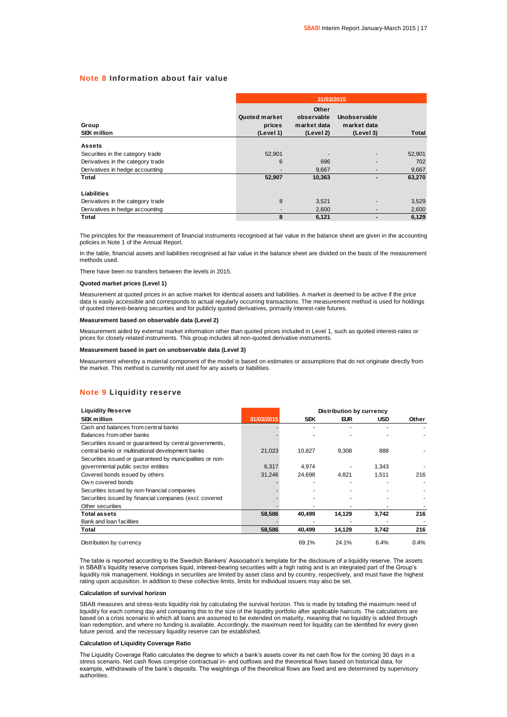### **Note 8 Information about fair value**

|                                   |                                      | 31/03/2015                                      |                                          |              |  |  |  |  |  |  |
|-----------------------------------|--------------------------------------|-------------------------------------------------|------------------------------------------|--------------|--|--|--|--|--|--|
| Group<br><b>SEK million</b>       | Quoted market<br>prices<br>(Level 1) | Other<br>observable<br>market data<br>(Level 2) | Unobservable<br>market data<br>(Level 3) | <b>Total</b> |  |  |  |  |  |  |
| <b>Assets</b>                     |                                      |                                                 |                                          |              |  |  |  |  |  |  |
| Securities in the category trade  | 52,901                               |                                                 |                                          | 52,901       |  |  |  |  |  |  |
| Derivatives in the category trade | 6                                    | 696                                             |                                          | 702          |  |  |  |  |  |  |
| Derivatives in hedge accounting   |                                      | 9,667                                           |                                          | 9,667        |  |  |  |  |  |  |
| Total                             | 52,907                               | 10,363                                          |                                          | 63,270       |  |  |  |  |  |  |
| Liabilities                       |                                      |                                                 |                                          |              |  |  |  |  |  |  |
| Derivatives in the category trade | 8                                    | 3,521                                           |                                          | 3,529        |  |  |  |  |  |  |
| Derivatives in hedge accounting   | $\overline{\phantom{a}}$             | 2,600                                           |                                          | 2,600        |  |  |  |  |  |  |
| Total                             | 8                                    | 6,121                                           |                                          | 6.129        |  |  |  |  |  |  |

The principles for the measurement of financial instruments recognised at fair value in the balance sheet are given in the accounting policies in Note 1 of the Annual Report.

In the table, financial assets and liabilities recognised at fair value in the balance sheet are divided on the basis of the measurement methods used.

There have been no transfers between the levels in 2015.

#### **Quoted market prices (Level 1)**

Measurement at quoted prices in an active market for identical assets and liabilities. A market is deemed to be active if the price data is easily accessible and corresponds to actual regularly occurring transactions. The measurement method is used for holdings of quoted interest-bearing securities and for publicly quoted derivatives, primarily interest-rate futures.

#### **Measurement based on observable data (Level 2)**

Measurement aided by external market information other than quoted prices included in Level 1, such as quoted interest-rates or prices for closely related instruments. This group includes all non-quoted derivative instruments.

#### **Measurement based in part on unobservable data (Level 3)**

Measurement whereby a material component of the model is based on estimates or assumptions that do not originate directly from the market. This method is currently not used for any assets or liabilities.

### **Note 9 Liquidity reserve**

| <b>Liquidity Reserve</b>                                  |            |            |            | <b>Distribution by currency</b> |       |  |  |  |
|-----------------------------------------------------------|------------|------------|------------|---------------------------------|-------|--|--|--|
| <b>SEK million</b>                                        | 31/03/2015 | <b>SEK</b> | <b>EUR</b> | <b>USD</b>                      | Other |  |  |  |
| Cash and balances from central banks                      |            |            |            |                                 |       |  |  |  |
| Balances from other banks                                 |            |            |            |                                 |       |  |  |  |
| Securities issued or guaranteed by central governments,   |            |            |            |                                 |       |  |  |  |
| central banks or multinational development banks          | 21.023     | 10.827     | 9.308      | 888                             |       |  |  |  |
| Securities issued or guaranteed by municipalities or non- |            |            |            |                                 |       |  |  |  |
| governmental public sector entities                       | 6,317      | 4.974      |            | 1.343                           |       |  |  |  |
| Covered bonds issued by others                            | 31.246     | 24.698     | 4.821      | 1,511                           | 216   |  |  |  |
| Own covered bonds                                         |            |            |            |                                 |       |  |  |  |
| Securities issued by non-financial companies              |            |            |            |                                 |       |  |  |  |
| Securities issued by financial companies (excl. covered   |            |            |            |                                 |       |  |  |  |
| Other securities                                          |            |            |            |                                 |       |  |  |  |
| Total assets                                              | 58,586     | 40,499     | 14,129     | 3,742                           | 216   |  |  |  |
| Bank and loan facilities                                  |            |            |            |                                 |       |  |  |  |
| Total                                                     | 58,586     | 40,499     | 14,129     | 3,742                           | 216   |  |  |  |
| Distribution by currency                                  |            | 69.1%      | 24.1%      | 6.4%                            | 0.4%  |  |  |  |

The table is reported according to the Swedish Bankers' Association's template for the disclosure of a liquidity reserve. The assets in SBAB's liquidity reserve comprises liquid, interest-bearing securities with a high rating and is an integrated part of the Group's liquidity risk management. Holdings in securities are limited by asset class and by country, respectively, and must have the highest

rating upon acquisition. In addition to these collective limits, limits for individual issuers may also be set.

#### **Calculation of survival horizon**

SBAB measures and stress-tests liquidity risk by calculating the survival horizon. This is made by totalling the maximum need of liquidity for each coming day and comparing this to the size of the liquidity portfolio after applicable haircuts. The calculations are based on a crisis scenario in which all loans are assumed to be extended on maturity, meaning that no liquidity is added through loan redemption, and where no funding is available. Accordingly, the maximum need for liquidity can be identified for every given future period, and the necessary liquidity reserve can be established.

#### **Calculation of Liquidity Coverage Ratio**

The Liquidity Coverage Ratio calculates the degree to which a bank's assets cover its net cash flow for the coming 30 days in a stress scenario. Net cash flows comprise contractual in- and outflows and the theoretical flows based on historical data, for example, withdrawals of the bank's deposits. The weightings of the theoretical flows are fixed and are determined by supervisory authorities.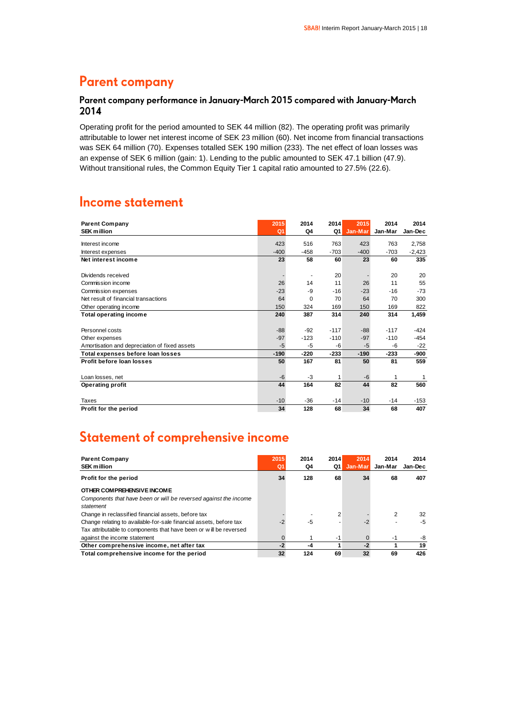## **Parent company**

### Parent company performance in January-March 2015 compared with January-March 2014

Operating profit for the period amounted to SEK 44 million (82). The operating profit was primarily attributable to lower net interest income of SEK 23 million (60). Net income from financial transactions was SEK 64 million (70). Expenses totalled SEK 190 million (233). The net effect of loan losses was an expense of SEK 6 million (gain: 1). Lending to the public amounted to SEK 47.1 billion (47.9). Without transitional rules, the Common Equity Tier 1 capital ratio amounted to 27.5% (22.6).

### **Income statement**

| <b>Parent Company</b>                         | 2015           | 2014     | 2014   | 2015    | 2014    | 2014     |
|-----------------------------------------------|----------------|----------|--------|---------|---------|----------|
| <b>SEK million</b>                            | Q <sub>1</sub> | Q4       | Q1     | Jan-Mar | Jan-Mar | Jan-Dec  |
| Interest income                               | 423            | 516      | 763    | 423     | 763     | 2,758    |
|                                               |                |          |        |         |         |          |
| Interest expenses                             | $-400$         | $-458$   | $-703$ | $-400$  | $-703$  | $-2,423$ |
| Net interest income                           | 23             | 58       | 60     | 23      | 60      | 335      |
|                                               |                |          |        |         |         |          |
| Dividends received                            |                |          | 20     |         | 20      | 20       |
| Commission income                             | 26             | 14       | 11     | 26      | 11      | 55       |
| Commission expenses                           | $-23$          | $-9$     | $-16$  | $-23$   | $-16$   | $-73$    |
| Net result of financial transactions          | 64             | $\Omega$ | 70     | 64      | 70      | 300      |
| Other operating income                        | 150            | 324      | 169    | 150     | 169     | 822      |
| <b>Total operating income</b>                 | 240            | 387      | 314    | 240     | 314     | 1,459    |
|                                               |                |          |        |         |         |          |
| Personnel costs                               | $-88$          | $-92$    | $-117$ | $-88-$  | $-117$  | $-424$   |
| Other expenses                                | $-97$          | $-123$   | $-110$ | $-97$   | $-110$  | $-454$   |
| Amortisation and depreciation of fixed assets | $-5$           | $-5$     | -6     | $-5$    | -6      | $-22$    |
| Total expenses before loan losses             | $-190$         | $-220$   | $-233$ | $-190$  | $-233$  | -900     |
| Profit before loan losses                     | 50             | 167      | 81     | 50      | 81      | 559      |
|                                               |                |          |        |         |         |          |
| Loan losses, net                              | $-6$           | $-3$     | 1      | $-6$    | 1       | 1        |
| <b>Operating profit</b>                       | 44             | 164      | 82     | 44      | 82      | 560      |
|                                               |                |          |        |         |         |          |
| Taxes                                         | $-10$          | -36      | $-14$  | $-10$   | $-14$   | $-153$   |
| Profit for the period                         | 34             | 128      | 68     | 34      | 68      | 407      |

# Statement of comprehensive income

| <b>Parent Company</b><br><b>SEK million</b>                                                                                                                             | 2015<br>Q | 2014<br>Q4 | 2014<br>Q1 | 2014<br>Jan-Mar | 2014<br>Jan-Mar | 2014<br>Jan-Dec |
|-------------------------------------------------------------------------------------------------------------------------------------------------------------------------|-----------|------------|------------|-----------------|-----------------|-----------------|
| Profit for the period                                                                                                                                                   | 34        | 128        | 68         | 34              | 68              | 407             |
| OTHER COMPREHENSIVE INCOME<br>Components that have been or will be reversed against the income<br>statement                                                             |           |            |            |                 |                 |                 |
| Change in reclassified financial assets, before tax                                                                                                                     |           |            |            |                 | 2               | 32              |
| Change relating to available-for-sale financial assets, before tax<br>Tax attributable to components that have been or will be reversed<br>against the income statement |           | -5         | $-1$       |                 | -1              | -5<br>-8        |
| Other comprehensive income, net after tax                                                                                                                               | $-2$      | -4         |            | $-2$            |                 | 19              |
| Total comprehensive income for the period                                                                                                                               | 32        | 124        | 69         | 32              | 69              | 426             |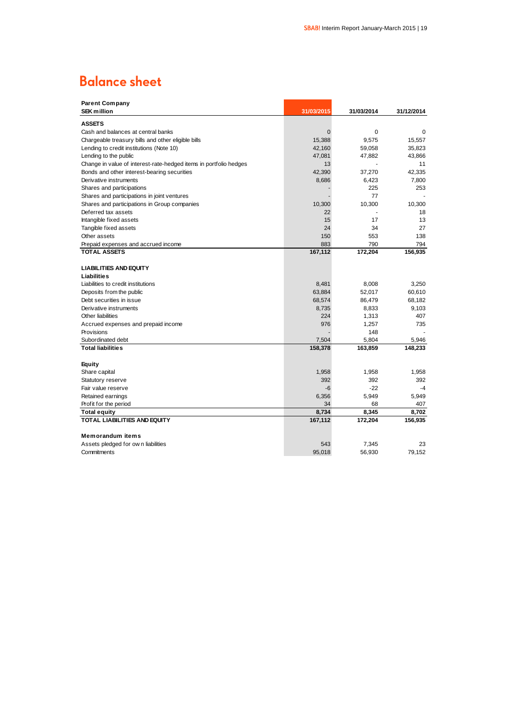# **Balance sheet**

| <b>Parent Company</b>                                             |             |            |            |
|-------------------------------------------------------------------|-------------|------------|------------|
| <b>SEK million</b>                                                | 31/03/2015  | 31/03/2014 | 31/12/2014 |
| <b>ASSETS</b>                                                     |             |            |            |
| Cash and balances at central banks                                | $\mathbf 0$ | 0          | 0          |
| Chargeable treasury bills and other eligible bills                | 15,388      | 9,575      | 15,557     |
| Lending to credit institutions (Note 10)                          | 42,160      | 59,058     | 35,823     |
| Lending to the public                                             | 47,081      | 47,882     | 43,866     |
| Change in value of interest-rate-hedged items in portfolio hedges | 13          |            | 11         |
| Bonds and other interest-bearing securities                       | 42,390      | 37,270     | 42,335     |
| Derivative instruments                                            | 8,686       | 6,423      | 7,800      |
| Shares and participations                                         |             | 225        | 253        |
| Shares and participations in joint ventures                       |             | 77         |            |
| Shares and participations in Group companies                      | 10,300      | 10,300     | 10,300     |
| Deferred tax assets                                               | 22          |            | 18         |
| Intangible fixed assets                                           | 15          | 17         | 13         |
| Tangible fixed assets                                             | 24          | 34         | 27         |
| Other assets                                                      | 150         | 553        | 138        |
| Prepaid expenses and accrued income                               | 883         | 790        | 794        |
| <b>TOTAL ASSETS</b>                                               | 167,112     | 172,204    | 156,935    |
|                                                                   |             |            |            |
| <b>LIABILITIES AND EQUITY</b>                                     |             |            |            |
| Liabilities                                                       |             |            |            |
| Liabilities to credit institutions                                | 8,481       | 8,008      | 3.250      |
| Deposits from the public                                          | 63,884      | 52,017     | 60,610     |
| Debt securities in issue                                          | 68,574      | 86,479     | 68,182     |
| Derivative instruments                                            | 8,735       | 8,833      | 9,103      |
| Other liabilities                                                 | 224         | 1,313      | 407        |
| Accrued expenses and prepaid income                               | 976         | 1,257      | 735        |
| Provisions                                                        |             | 148        |            |
| Subordinated debt                                                 | 7,504       | 5,804      | 5,946      |
| <b>Total liabilities</b>                                          | 158,378     | 163,859    | 148,233    |
|                                                                   |             |            |            |
| Equity                                                            |             |            |            |
| Share capital                                                     | 1,958       | 1,958      | 1,958      |
| Statutory reserve                                                 | 392         | 392        | 392        |
| Fair value reserve                                                | $-6$        | $-22$      | $-4$       |
| Retained earnings                                                 | 6,356       | 5,949      | 5,949      |
| Profit for the period                                             | 34          | 68         | 407        |
| Total equity                                                      | 8,734       | 8,345      | 8,702      |
| <b>TOTAL LIABILITIES AND EQUITY</b>                               | 167,112     | 172,204    | 156,935    |
|                                                                   |             |            |            |
| <b>Memorandum items</b>                                           |             |            |            |
| Assets pledged for own liabilities                                | 543         | 7,345      | 23         |
| Commitments                                                       | 95,018      | 56,930     | 79.152     |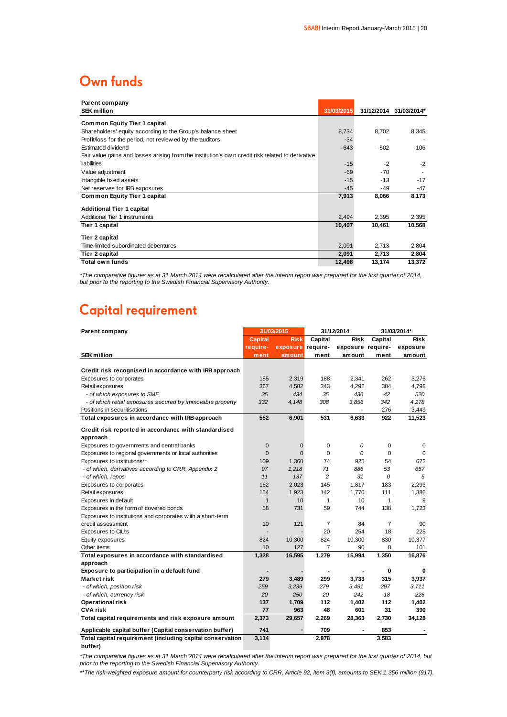### Own funds

| Parent company                                                                                   |            |            |             |
|--------------------------------------------------------------------------------------------------|------------|------------|-------------|
| <b>SEK million</b>                                                                               | 31/03/2015 | 31/12/2014 | 31/03/2014* |
| <b>Common Equity Tier 1 capital</b>                                                              |            |            |             |
| Shareholders' equity according to the Group's balance sheet                                      | 8,734      | 8,702      | 8,345       |
| Profit/loss for the period, not review ed by the auditors                                        | $-34$      |            |             |
| Estimated dividend                                                                               | $-643$     | $-502$     | $-106$      |
| Fair value gains and losses arising from the institution's own credit risk related to derivative |            |            |             |
| liabilities                                                                                      | $-15$      | $-2$       | $-2$        |
| Value adjustment                                                                                 | $-69$      | $-70$      |             |
| Intangible fixed assets                                                                          | $-15$      | $-13$      | $-17$       |
| Net reserves for IRB exposures                                                                   | $-45$      | $-49$      | -47         |
| <b>Common Equity Tier 1 capital</b>                                                              | 7,913      | 8,066      | 8,173       |
| <b>Additional Tier 1 capital</b>                                                                 |            |            |             |
| Additional Tier 1 instruments                                                                    | 2,494      | 2,395      | 2,395       |
| Tier 1 capital                                                                                   | 10,407     | 10,461     | 10,568      |
| Tier 2 capital                                                                                   |            |            |             |
| Time-limited subordinated debentures                                                             | 2,091      | 2,713      | 2,804       |
| Tier 2 capital                                                                                   | 2,091      | 2,713      | 2,804       |
| Total own funds                                                                                  | 12,498     | 13,174     | 13,372      |

*\*The comparative figures as at 31 March 2014 were recalculated after the interim report was prepared for the first quarter of 2014, but prior to the reporting to the Swedish Financial Supervisory Authority.*

# **Capital requirement**

| Parent company                                             | 31/03/2015   |             | 31/12/2014     |                   | 31/03/2014*    |             |
|------------------------------------------------------------|--------------|-------------|----------------|-------------------|----------------|-------------|
|                                                            | Capital      | <b>Risk</b> | Capital        | <b>Risk</b>       | Capital        | <b>Risk</b> |
|                                                            | require-     | exposure    | require-       | exposure require- |                | exposure    |
| <b>SEK</b> million                                         | ment         | amount      | ment           | amount            | ment           | amount      |
|                                                            |              |             |                |                   |                |             |
| Credit risk recognised in accordance with IRB approach     |              |             |                |                   |                |             |
| Exposures to corporates                                    | 185          | 2,319       | 188            | 2,341             | 262            | 3,276       |
| Retail exposures                                           | 367          | 4,582       | 343            | 4,292             | 384            | 4,798       |
| - of which exposures to SME                                | 35           | 434         | 35             | 436               | 42             | 520         |
| - of which retail exposures secured by immovable property  | 332          | 4,148       | 308            | 3,856             | 342            | 4,278       |
| Positions in securitisations                               |              |             |                |                   | 276            | 3,449       |
| Total exposures in accordance with IRB approach            | 552          | 6,901       | 531            | 6,633             | 922            | 11,523      |
| Credit risk reported in accordance with standardised       |              |             |                |                   |                |             |
| approach                                                   |              |             |                |                   |                |             |
| Exposures to governments and central banks                 | $\mathbf 0$  | 0           | 0              | 0                 | 0              | 0           |
| Exposures to regional governments or local authorities     | $\mathbf 0$  | $\Omega$    | $\Omega$       | $\Omega$          | $\Omega$       | $\Omega$    |
| Exposures to institutions**                                | 109          | 1,360       | 74             | 925               | 54             | 672         |
| - of which, derivatives according to CRR, Appendix 2       | 97           | 1,218       | 71             | 886               | 53             | 657         |
| - of which, repos                                          | 11           | 137         | $\overline{c}$ | 31                | 0              | 5           |
| Exposures to corporates                                    | 162          | 2,023       | 145            | 1,817             | 183            | 2,293       |
| Retail exposures                                           | 154          | 1,923       | 142            | 1,770             | 111            | 1,386       |
| Exposures in default                                       | $\mathbf{1}$ | 10          | $\mathbf{1}$   | 10                | 1              | 9           |
| Exposures in the form of covered bonds                     | 58           | 731         | 59             | 744               | 138            | 1,723       |
| Exposures to institutions and corporates with a short-term |              |             |                |                   |                |             |
| credit assessment                                          | 10           | 121         | $\overline{7}$ | 84                | $\overline{7}$ | 90          |
| Exposures to CIU:s                                         | ٠            |             | 20             | 254               | 18             | 225         |
| Equity exposures                                           | 824          | 10,300      | 824            | 10,300            | 830            | 10,377      |
| Other items                                                | 10           | 127         | $\overline{7}$ | 90                | 8              | 101         |
| Total exposures in accordance with standardised            | 1,328        | 16,595      | 1,279          | 15,994            | 1,350          | 16,876      |
| approach                                                   |              |             |                |                   |                |             |
| Exposure to participation in a default fund                |              |             |                |                   | 0              | $\Omega$    |
| Market risk                                                | 279          | 3,489       | 299            | 3,733             | 315            | 3,937       |
| - of which, position risk                                  | 259          | 3,239       | 279            | 3,491             | 297            | 3,711       |
| - of which, currency risk                                  | 20           | 250         | 20             | 242               | 18             | 226         |
| <b>Operational risk</b>                                    | 137          | 1,709       | 112            | 1,402             | 112            | 1,402       |
| <b>CVA risk</b>                                            | 77           | 963         | 48             | 601               | 31             | 390         |
| Total capital requirements and risk exposure amount        | 2,373        | 29,657      | 2,269          | 28,363            | 2,730          | 34,128      |
| Applicable capital buffer (Capital conservation buffer)    | 741          |             | 709            |                   | 853            |             |
| Total capital requirement (including capital conservation  | 3,114        |             | 2,978          |                   | 3,583          |             |

**buffer)**

*\*The comparative figures as at 31 March 2014 were recalculated after the interim report was prepared for the first quarter of 2014, but prior to the reporting to the Swedish Financial Supervisory Authority.*

*\*\*The risk-weighted exposure amount for counterparty risk according to CRR, Article 92, item 3(f), amounts to SEK 1,356 million (917).*